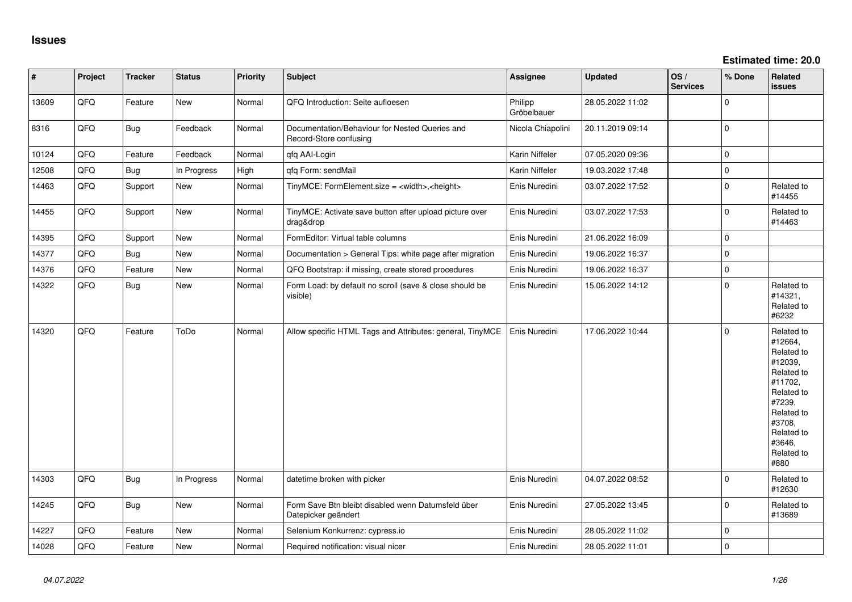| $\vert$ # | Project | <b>Tracker</b> | <b>Status</b> | <b>Priority</b> | <b>Subject</b>                                                            | <b>Assignee</b>        | <b>Updated</b>   | OS/<br><b>Services</b> | % Done      | Related<br><b>issues</b>                                                                                                                                              |
|-----------|---------|----------------|---------------|-----------------|---------------------------------------------------------------------------|------------------------|------------------|------------------------|-------------|-----------------------------------------------------------------------------------------------------------------------------------------------------------------------|
| 13609     | QFQ     | Feature        | New           | Normal          | QFQ Introduction: Seite aufloesen                                         | Philipp<br>Gröbelbauer | 28.05.2022 11:02 |                        | $\mathbf 0$ |                                                                                                                                                                       |
| 8316      | QFQ     | Bug            | Feedback      | Normal          | Documentation/Behaviour for Nested Queries and<br>Record-Store confusing  | Nicola Chiapolini      | 20.11.2019 09:14 |                        | $\mathbf 0$ |                                                                                                                                                                       |
| 10124     | QFQ     | Feature        | Feedback      | Normal          | qfq AAI-Login                                                             | Karin Niffeler         | 07.05.2020 09:36 |                        | $\mathbf 0$ |                                                                                                                                                                       |
| 12508     | QFQ     | <b>Bug</b>     | In Progress   | High            | qfq Form: sendMail                                                        | Karin Niffeler         | 19.03.2022 17:48 |                        | $\mathbf 0$ |                                                                                                                                                                       |
| 14463     | QFQ     | Support        | New           | Normal          | TinyMCE: FormElement.size = <width>,<height></height></width>             | Enis Nuredini          | 03.07.2022 17:52 |                        | $\mathbf 0$ | Related to<br>#14455                                                                                                                                                  |
| 14455     | QFQ     | Support        | New           | Normal          | TinyMCE: Activate save button after upload picture over<br>drag&drop      | Enis Nuredini          | 03.07.2022 17:53 |                        | $\mathbf 0$ | Related to<br>#14463                                                                                                                                                  |
| 14395     | QFQ     | Support        | New           | Normal          | FormEditor: Virtual table columns                                         | Enis Nuredini          | 21.06.2022 16:09 |                        | $\mathbf 0$ |                                                                                                                                                                       |
| 14377     | QFQ     | <b>Bug</b>     | New           | Normal          | Documentation > General Tips: white page after migration                  | Enis Nuredini          | 19.06.2022 16:37 |                        | $\mathbf 0$ |                                                                                                                                                                       |
| 14376     | QFQ     | Feature        | New           | Normal          | QFQ Bootstrap: if missing, create stored procedures                       | Enis Nuredini          | 19.06.2022 16:37 |                        | $\mathbf 0$ |                                                                                                                                                                       |
| 14322     | QFQ     | <b>Bug</b>     | New           | Normal          | Form Load: by default no scroll (save & close should be<br>visible)       | Enis Nuredini          | 15.06.2022 14:12 |                        | $\mathbf 0$ | Related to<br>#14321,<br>Related to<br>#6232                                                                                                                          |
| 14320     | QFQ     | Feature        | ToDo          | Normal          | Allow specific HTML Tags and Attributes: general, TinyMCE                 | Enis Nuredini          | 17.06.2022 10:44 |                        | $\mathbf 0$ | Related to<br>#12664,<br>Related to<br>#12039,<br>Related to<br>#11702,<br>Related to<br>#7239,<br>Related to<br>#3708,<br>Related to<br>#3646,<br>Related to<br>#880 |
| 14303     | QFQ     | <b>Bug</b>     | In Progress   | Normal          | datetime broken with picker                                               | Enis Nuredini          | 04.07.2022 08:52 |                        | $\Omega$    | Related to<br>#12630                                                                                                                                                  |
| 14245     | QFQ     | <b>Bug</b>     | New           | Normal          | Form Save Btn bleibt disabled wenn Datumsfeld über<br>Datepicker geändert | Enis Nuredini          | 27.05.2022 13:45 |                        | $\mathbf 0$ | Related to<br>#13689                                                                                                                                                  |
| 14227     | QFQ     | Feature        | New           | Normal          | Selenium Konkurrenz: cypress.io                                           | Enis Nuredini          | 28.05.2022 11:02 |                        | $\mathbf 0$ |                                                                                                                                                                       |
| 14028     | QFQ     | Feature        | New           | Normal          | Required notification: visual nicer                                       | Enis Nuredini          | 28.05.2022 11:01 |                        | $\mathbf 0$ |                                                                                                                                                                       |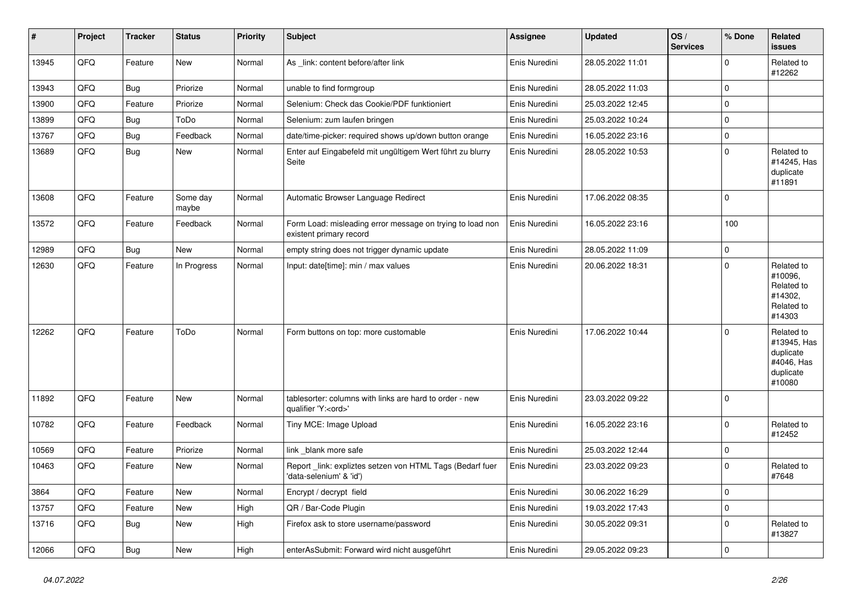| $\vert$ # | Project | <b>Tracker</b> | <b>Status</b>     | <b>Priority</b> | <b>Subject</b>                                                                        | <b>Assignee</b> | <b>Updated</b>   | OS/<br><b>Services</b> | % Done   | Related<br><b>issues</b>                                                    |
|-----------|---------|----------------|-------------------|-----------------|---------------------------------------------------------------------------------------|-----------------|------------------|------------------------|----------|-----------------------------------------------------------------------------|
| 13945     | QFQ     | Feature        | New               | Normal          | As link: content before/after link                                                    | Enis Nuredini   | 28.05.2022 11:01 |                        | $\Omega$ | Related to<br>#12262                                                        |
| 13943     | QFQ     | <b>Bug</b>     | Priorize          | Normal          | unable to find formgroup                                                              | Enis Nuredini   | 28.05.2022 11:03 |                        | 0        |                                                                             |
| 13900     | QFQ     | Feature        | Priorize          | Normal          | Selenium: Check das Cookie/PDF funktioniert                                           | Enis Nuredini   | 25.03.2022 12:45 |                        | $\Omega$ |                                                                             |
| 13899     | QFQ     | <b>Bug</b>     | ToDo              | Normal          | Selenium: zum laufen bringen                                                          | Enis Nuredini   | 25.03.2022 10:24 |                        | 0        |                                                                             |
| 13767     | QFQ     | <b>Bug</b>     | Feedback          | Normal          | date/time-picker: required shows up/down button orange                                | Enis Nuredini   | 16.05.2022 23:16 |                        | 0        |                                                                             |
| 13689     | QFQ     | <b>Bug</b>     | New               | Normal          | Enter auf Eingabefeld mit ungültigem Wert führt zu blurry<br>Seite                    | Enis Nuredini   | 28.05.2022 10:53 |                        | $\Omega$ | Related to<br>#14245, Has<br>duplicate<br>#11891                            |
| 13608     | QFQ     | Feature        | Some day<br>maybe | Normal          | Automatic Browser Language Redirect                                                   | Enis Nuredini   | 17.06.2022 08:35 |                        | $\Omega$ |                                                                             |
| 13572     | QFQ     | Feature        | Feedback          | Normal          | Form Load: misleading error message on trying to load non<br>existent primary record  | Enis Nuredini   | 16.05.2022 23:16 |                        | 100      |                                                                             |
| 12989     | QFQ     | <b>Bug</b>     | <b>New</b>        | Normal          | empty string does not trigger dynamic update                                          | Enis Nuredini   | 28.05.2022 11:09 |                        | 0        |                                                                             |
| 12630     | QFQ     | Feature        | In Progress       | Normal          | Input: date[time]: min / max values                                                   | Enis Nuredini   | 20.06.2022 18:31 |                        | $\Omega$ | Related to<br>#10096,<br>Related to<br>#14302,<br>Related to<br>#14303      |
| 12262     | QFQ     | Feature        | ToDo              | Normal          | Form buttons on top: more customable                                                  | Enis Nuredini   | 17.06.2022 10:44 |                        | $\Omega$ | Related to<br>#13945, Has<br>duplicate<br>#4046, Has<br>duplicate<br>#10080 |
| 11892     | QFQ     | Feature        | New               | Normal          | tablesorter: columns with links are hard to order - new<br>qualifier 'Y: <ord>'</ord> | Enis Nuredini   | 23.03.2022 09:22 |                        | $\Omega$ |                                                                             |
| 10782     | QFQ     | Feature        | Feedback          | Normal          | Tiny MCE: Image Upload                                                                | Enis Nuredini   | 16.05.2022 23:16 |                        | $\Omega$ | Related to<br>#12452                                                        |
| 10569     | QFQ     | Feature        | Priorize          | Normal          | link blank more safe                                                                  | Enis Nuredini   | 25.03.2022 12:44 |                        | $\Omega$ |                                                                             |
| 10463     | QFQ     | Feature        | New               | Normal          | Report _link: expliztes setzen von HTML Tags (Bedarf fuer<br>'data-selenium' & 'id')  | Enis Nuredini   | 23.03.2022 09:23 |                        | $\Omega$ | Related to<br>#7648                                                         |
| 3864      | QFQ     | Feature        | <b>New</b>        | Normal          | Encrypt / decrypt field                                                               | Enis Nuredini   | 30.06.2022 16:29 |                        | $\Omega$ |                                                                             |
| 13757     | QFQ     | Feature        | New               | High            | QR / Bar-Code Plugin                                                                  | Enis Nuredini   | 19.03.2022 17:43 |                        | 0        |                                                                             |
| 13716     | QFQ     | Bug            | New               | High            | Firefox ask to store username/password                                                | Enis Nuredini   | 30.05.2022 09:31 |                        | $\Omega$ | Related to<br>#13827                                                        |
| 12066     | QFQ     | <b>Bug</b>     | <b>New</b>        | High            | enterAsSubmit: Forward wird nicht ausgeführt                                          | Enis Nuredini   | 29.05.2022 09:23 |                        | $\Omega$ |                                                                             |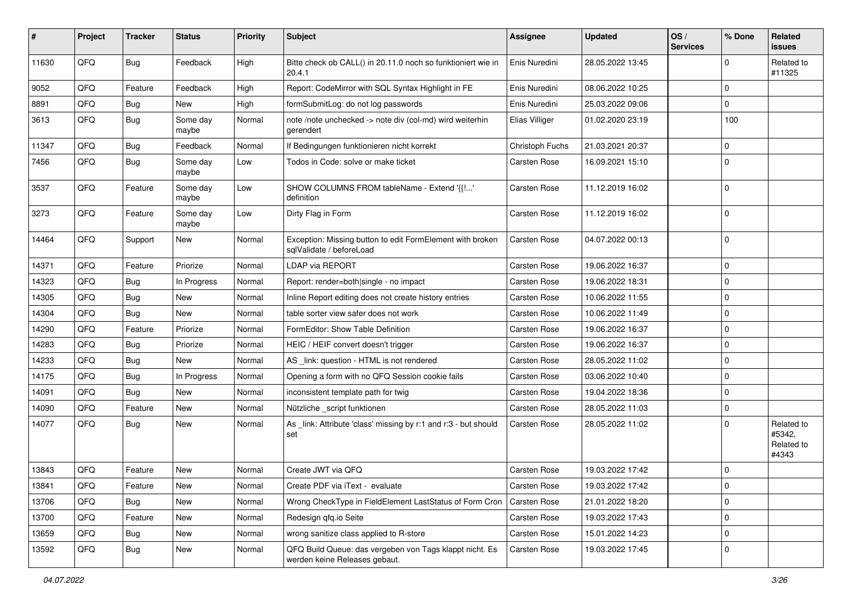| #     | Project | <b>Tracker</b> | <b>Status</b>     | <b>Priority</b> | <b>Subject</b>                                                                           | <b>Assignee</b>     | <b>Updated</b>   | OS/<br><b>Services</b> | % Done      | Related<br><b>issues</b>                    |
|-------|---------|----------------|-------------------|-----------------|------------------------------------------------------------------------------------------|---------------------|------------------|------------------------|-------------|---------------------------------------------|
| 11630 | QFQ     | <b>Bug</b>     | Feedback          | High            | Bitte check ob CALL() in 20.11.0 noch so funktioniert wie in<br>20.4.1                   | Enis Nuredini       | 28.05.2022 13:45 |                        | $\mathbf 0$ | Related to<br>#11325                        |
| 9052  | QFQ     | Feature        | Feedback          | High            | Report: CodeMirror with SQL Syntax Highlight in FE                                       | Enis Nuredini       | 08.06.2022 10:25 |                        | $\mathbf 0$ |                                             |
| 8891  | QFQ     | Bug            | <b>New</b>        | High            | formSubmitLog: do not log passwords                                                      | Enis Nuredini       | 25.03.2022 09:06 |                        | $\mathbf 0$ |                                             |
| 3613  | QFQ     | <b>Bug</b>     | Some day<br>maybe | Normal          | note /note unchecked -> note div (col-md) wird weiterhin<br>gerendert                    | Elias Villiger      | 01.02.2020 23:19 |                        | 100         |                                             |
| 11347 | QFQ     | <b>Bug</b>     | Feedback          | Normal          | If Bedingungen funktionieren nicht korrekt                                               | Christoph Fuchs     | 21.03.2021 20:37 |                        | $\mathbf 0$ |                                             |
| 7456  | QFQ     | <b>Bug</b>     | Some day<br>maybe | Low             | Todos in Code: solve or make ticket                                                      | Carsten Rose        | 16.09.2021 15:10 |                        | $\mathbf 0$ |                                             |
| 3537  | QFQ     | Feature        | Some day<br>maybe | Low             | SHOW COLUMNS FROM tableName - Extend '{{!'<br>definition                                 | Carsten Rose        | 11.12.2019 16:02 |                        | $\mathbf 0$ |                                             |
| 3273  | QFQ     | Feature        | Some day<br>maybe | Low             | Dirty Flag in Form                                                                       | Carsten Rose        | 11.12.2019 16:02 |                        | $\mathbf 0$ |                                             |
| 14464 | QFQ     | Support        | New               | Normal          | Exception: Missing button to edit FormElement with broken<br>sqlValidate / beforeLoad    | Carsten Rose        | 04.07.2022 00:13 |                        | $\mathbf 0$ |                                             |
| 14371 | QFQ     | Feature        | Priorize          | Normal          | <b>LDAP via REPORT</b>                                                                   | Carsten Rose        | 19.06.2022 16:37 |                        | $\mathbf 0$ |                                             |
| 14323 | QFQ     | <b>Bug</b>     | In Progress       | Normal          | Report: render=both single - no impact                                                   | Carsten Rose        | 19.06.2022 18:31 |                        | $\mathbf 0$ |                                             |
| 14305 | QFQ     | Bug            | New               | Normal          | Inline Report editing does not create history entries                                    | Carsten Rose        | 10.06.2022 11:55 |                        | $\mathbf 0$ |                                             |
| 14304 | QFQ     | Bug            | New               | Normal          | table sorter view safer does not work                                                    | Carsten Rose        | 10.06.2022 11:49 |                        | $\mathbf 0$ |                                             |
| 14290 | QFQ     | Feature        | Priorize          | Normal          | FormEditor: Show Table Definition                                                        | Carsten Rose        | 19.06.2022 16:37 |                        | $\mathbf 0$ |                                             |
| 14283 | QFQ     | <b>Bug</b>     | Priorize          | Normal          | HEIC / HEIF convert doesn't trigger                                                      | Carsten Rose        | 19.06.2022 16:37 |                        | $\mathbf 0$ |                                             |
| 14233 | QFQ     | <b>Bug</b>     | New               | Normal          | AS _link: question - HTML is not rendered                                                | Carsten Rose        | 28.05.2022 11:02 |                        | $\mathbf 0$ |                                             |
| 14175 | QFQ     | Bug            | In Progress       | Normal          | Opening a form with no QFQ Session cookie fails                                          | Carsten Rose        | 03.06.2022 10:40 |                        | $\mathbf 0$ |                                             |
| 14091 | QFQ     | <b>Bug</b>     | New               | Normal          | inconsistent template path for twig                                                      | Carsten Rose        | 19.04.2022 18:36 |                        | $\mathbf 0$ |                                             |
| 14090 | QFQ     | Feature        | <b>New</b>        | Normal          | Nützliche _script funktionen                                                             | Carsten Rose        | 28.05.2022 11:03 |                        | $\mathbf 0$ |                                             |
| 14077 | QFQ     | <b>Bug</b>     | New               | Normal          | As _link: Attribute 'class' missing by r:1 and r:3 - but should<br>set                   | Carsten Rose        | 28.05.2022 11:02 |                        | $\mathbf 0$ | Related to<br>#5342,<br>Related to<br>#4343 |
| 13843 | QFQ     | Feature        | <b>New</b>        | Normal          | Create JWT via QFQ                                                                       | <b>Carsten Rose</b> | 19.03.2022 17:42 |                        | $\mathbf 0$ |                                             |
| 13841 | QFQ     | Feature        | New               | Normal          | Create PDF via iText - evaluate                                                          | Carsten Rose        | 19.03.2022 17:42 |                        | 0           |                                             |
| 13706 | QFQ     | <b>Bug</b>     | New               | Normal          | Wrong CheckType in FieldElement LastStatus of Form Cron                                  | Carsten Rose        | 21.01.2022 18:20 |                        | $\mathbf 0$ |                                             |
| 13700 | QFQ     | Feature        | New               | Normal          | Redesign qfq.io Seite                                                                    | Carsten Rose        | 19.03.2022 17:43 |                        | $\mathbf 0$ |                                             |
| 13659 | QFQ     | <b>Bug</b>     | New               | Normal          | wrong sanitize class applied to R-store                                                  | Carsten Rose        | 15.01.2022 14:23 |                        | 0           |                                             |
| 13592 | QFQ     | <b>Bug</b>     | New               | Normal          | QFQ Build Queue: das vergeben von Tags klappt nicht. Es<br>werden keine Releases gebaut. | Carsten Rose        | 19.03.2022 17:45 |                        | $\mathbf 0$ |                                             |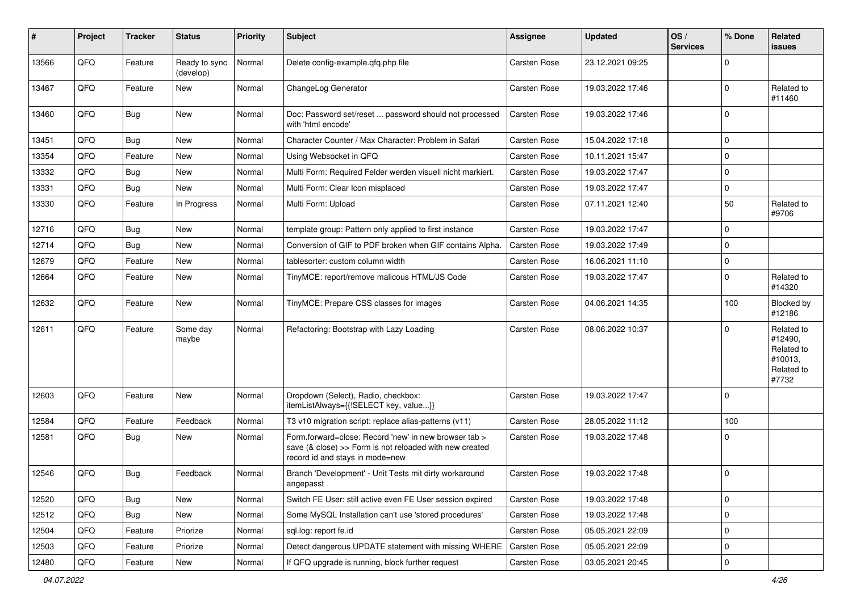| #     | Project | <b>Tracker</b> | <b>Status</b>              | <b>Priority</b> | Subject                                                                                                                                             | <b>Assignee</b> | <b>Updated</b>   | OS/<br><b>Services</b> | % Done      | Related<br><b>issues</b>                                              |
|-------|---------|----------------|----------------------------|-----------------|-----------------------------------------------------------------------------------------------------------------------------------------------------|-----------------|------------------|------------------------|-------------|-----------------------------------------------------------------------|
| 13566 | QFQ     | Feature        | Ready to sync<br>(develop) | Normal          | Delete config-example.qfq.php file                                                                                                                  | Carsten Rose    | 23.12.2021 09:25 |                        | $\Omega$    |                                                                       |
| 13467 | QFQ     | Feature        | New                        | Normal          | ChangeLog Generator                                                                                                                                 | Carsten Rose    | 19.03.2022 17:46 |                        | 0           | Related to<br>#11460                                                  |
| 13460 | QFQ     | <b>Bug</b>     | New                        | Normal          | Doc: Password set/reset  password should not processed<br>with 'html encode'                                                                        | Carsten Rose    | 19.03.2022 17:46 |                        | $\mathbf 0$ |                                                                       |
| 13451 | QFQ     | Bug            | New                        | Normal          | Character Counter / Max Character: Problem in Safari                                                                                                | Carsten Rose    | 15.04.2022 17:18 |                        | $\mathbf 0$ |                                                                       |
| 13354 | QFQ     | Feature        | New                        | Normal          | Using Websocket in QFQ                                                                                                                              | Carsten Rose    | 10.11.2021 15:47 |                        | $\mathbf 0$ |                                                                       |
| 13332 | QFQ     | Bug            | New                        | Normal          | Multi Form: Required Felder werden visuell nicht markiert.                                                                                          | Carsten Rose    | 19.03.2022 17:47 |                        | $\mathbf 0$ |                                                                       |
| 13331 | QFQ     | Bug            | New                        | Normal          | Multi Form: Clear Icon misplaced                                                                                                                    | Carsten Rose    | 19.03.2022 17:47 |                        | $\mathbf 0$ |                                                                       |
| 13330 | QFQ     | Feature        | In Progress                | Normal          | Multi Form: Upload                                                                                                                                  | Carsten Rose    | 07.11.2021 12:40 |                        | 50          | Related to<br>#9706                                                   |
| 12716 | QFQ     | <b>Bug</b>     | <b>New</b>                 | Normal          | template group: Pattern only applied to first instance                                                                                              | Carsten Rose    | 19.03.2022 17:47 |                        | $\mathbf 0$ |                                                                       |
| 12714 | QFQ     | <b>Bug</b>     | <b>New</b>                 | Normal          | Conversion of GIF to PDF broken when GIF contains Alpha.                                                                                            | Carsten Rose    | 19.03.2022 17:49 |                        | $\mathbf 0$ |                                                                       |
| 12679 | QFQ     | Feature        | New                        | Normal          | tablesorter: custom column width                                                                                                                    | Carsten Rose    | 16.06.2021 11:10 |                        | $\mathbf 0$ |                                                                       |
| 12664 | QFQ     | Feature        | New                        | Normal          | TinyMCE: report/remove malicous HTML/JS Code                                                                                                        | Carsten Rose    | 19.03.2022 17:47 |                        | $\Omega$    | Related to<br>#14320                                                  |
| 12632 | QFQ     | Feature        | New                        | Normal          | TinyMCE: Prepare CSS classes for images                                                                                                             | Carsten Rose    | 04.06.2021 14:35 |                        | 100         | Blocked by<br>#12186                                                  |
| 12611 | QFQ     | Feature        | Some day<br>maybe          | Normal          | Refactoring: Bootstrap with Lazy Loading                                                                                                            | Carsten Rose    | 08.06.2022 10:37 |                        | $\Omega$    | Related to<br>#12490,<br>Related to<br>#10013,<br>Related to<br>#7732 |
| 12603 | QFQ     | Feature        | New                        | Normal          | Dropdown (Select), Radio, checkbox:<br>itemListAlways={{!SELECT key, value}}                                                                        | Carsten Rose    | 19.03.2022 17:47 |                        | $\Omega$    |                                                                       |
| 12584 | QFQ     | Feature        | Feedback                   | Normal          | T3 v10 migration script: replace alias-patterns (v11)                                                                                               | Carsten Rose    | 28.05.2022 11:12 |                        | 100         |                                                                       |
| 12581 | QFQ     | Bug            | New                        | Normal          | Form.forward=close: Record 'new' in new browser tab ><br>save (& close) >> Form is not reloaded with new created<br>record id and stays in mode=new | Carsten Rose    | 19.03.2022 17:48 |                        | 0           |                                                                       |
| 12546 | QFQ     | Bug            | Feedback                   | Normal          | Branch 'Development' - Unit Tests mit dirty workaround<br>angepasst                                                                                 | Carsten Rose    | 19.03.2022 17:48 |                        | 0           |                                                                       |
| 12520 | QFQ     | Bug            | New                        | Normal          | Switch FE User: still active even FE User session expired                                                                                           | Carsten Rose    | 19.03.2022 17:48 |                        | $\mathbf 0$ |                                                                       |
| 12512 | QFQ     | <b>Bug</b>     | New                        | Normal          | Some MySQL Installation can't use 'stored procedures'                                                                                               | Carsten Rose    | 19.03.2022 17:48 |                        | $\mathbf 0$ |                                                                       |
| 12504 | QFQ     | Feature        | Priorize                   | Normal          | sql.log: report fe.id                                                                                                                               | Carsten Rose    | 05.05.2021 22:09 |                        | $\mathbf 0$ |                                                                       |
| 12503 | QFQ     | Feature        | Priorize                   | Normal          | Detect dangerous UPDATE statement with missing WHERE                                                                                                | Carsten Rose    | 05.05.2021 22:09 |                        | 0           |                                                                       |
| 12480 | QFQ     | Feature        | New                        | Normal          | If QFQ upgrade is running, block further request                                                                                                    | Carsten Rose    | 03.05.2021 20:45 |                        | $\mathbf 0$ |                                                                       |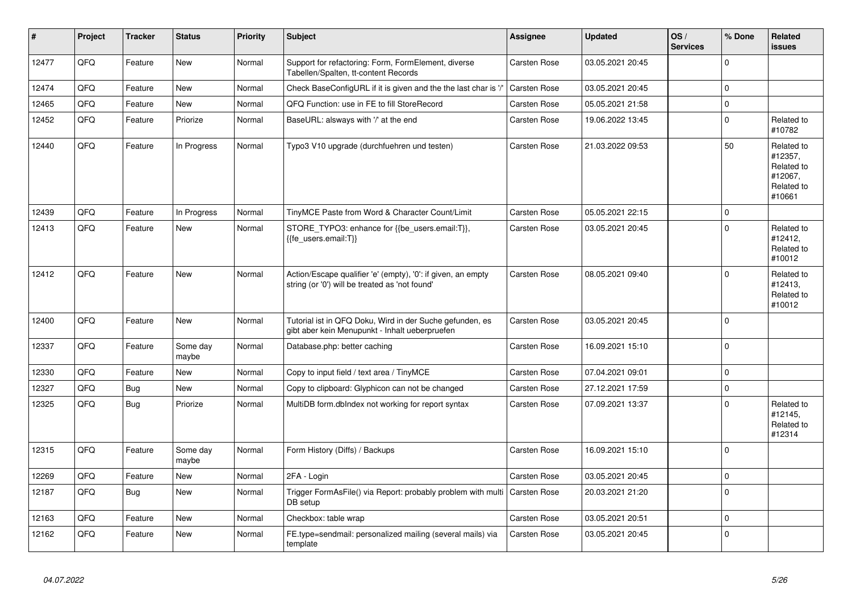| $\vert$ # | Project | <b>Tracker</b> | <b>Status</b>     | <b>Priority</b> | <b>Subject</b>                                                                                                 | <b>Assignee</b>     | <b>Updated</b>   | OS/<br><b>Services</b> | % Done      | <b>Related</b><br><b>issues</b>                                        |
|-----------|---------|----------------|-------------------|-----------------|----------------------------------------------------------------------------------------------------------------|---------------------|------------------|------------------------|-------------|------------------------------------------------------------------------|
| 12477     | QFQ     | Feature        | New               | Normal          | Support for refactoring: Form, FormElement, diverse<br>Tabellen/Spalten, tt-content Records                    | Carsten Rose        | 03.05.2021 20:45 |                        | $\Omega$    |                                                                        |
| 12474     | QFQ     | Feature        | <b>New</b>        | Normal          | Check BaseConfigURL if it is given and the the last char is ',                                                 | <b>Carsten Rose</b> | 03.05.2021 20:45 |                        | $\Omega$    |                                                                        |
| 12465     | QFQ     | Feature        | New               | Normal          | QFQ Function: use in FE to fill StoreRecord                                                                    | Carsten Rose        | 05.05.2021 21:58 |                        | 0           |                                                                        |
| 12452     | QFQ     | Feature        | Priorize          | Normal          | BaseURL: alsways with '/' at the end                                                                           | Carsten Rose        | 19.06.2022 13:45 |                        | $\mathbf 0$ | Related to<br>#10782                                                   |
| 12440     | QFQ     | Feature        | In Progress       | Normal          | Typo3 V10 upgrade (durchfuehren und testen)                                                                    | Carsten Rose        | 21.03.2022 09:53 |                        | 50          | Related to<br>#12357,<br>Related to<br>#12067,<br>Related to<br>#10661 |
| 12439     | QFQ     | Feature        | In Progress       | Normal          | TinyMCE Paste from Word & Character Count/Limit                                                                | Carsten Rose        | 05.05.2021 22:15 |                        | 0           |                                                                        |
| 12413     | QFQ     | Feature        | New               | Normal          | STORE_TYPO3: enhance for {{be_users.email:T}},<br>{{fe users.email:T}}                                         | Carsten Rose        | 03.05.2021 20:45 |                        | $\Omega$    | Related to<br>#12412,<br>Related to<br>#10012                          |
| 12412     | QFQ     | Feature        | New               | Normal          | Action/Escape qualifier 'e' (empty), '0': if given, an empty<br>string (or '0') will be treated as 'not found' | Carsten Rose        | 08.05.2021 09:40 |                        | $\Omega$    | Related to<br>#12413.<br>Related to<br>#10012                          |
| 12400     | QFQ     | Feature        | New               | Normal          | Tutorial ist in QFQ Doku, Wird in der Suche gefunden, es<br>gibt aber kein Menupunkt - Inhalt ueberpruefen     | Carsten Rose        | 03.05.2021 20:45 |                        | $\mathbf 0$ |                                                                        |
| 12337     | QFQ     | Feature        | Some day<br>maybe | Normal          | Database.php: better caching                                                                                   | Carsten Rose        | 16.09.2021 15:10 |                        | $\Omega$    |                                                                        |
| 12330     | QFQ     | Feature        | New               | Normal          | Copy to input field / text area / TinyMCE                                                                      | Carsten Rose        | 07.04.2021 09:01 |                        | $\Omega$    |                                                                        |
| 12327     | QFQ     | Bug            | New               | Normal          | Copy to clipboard: Glyphicon can not be changed                                                                | Carsten Rose        | 27.12.2021 17:59 |                        | 0           |                                                                        |
| 12325     | QFQ     | Bug            | Priorize          | Normal          | MultiDB form.dblndex not working for report syntax                                                             | Carsten Rose        | 07.09.2021 13:37 |                        | $\Omega$    | Related to<br>#12145,<br>Related to<br>#12314                          |
| 12315     | QFQ     | Feature        | Some day<br>maybe | Normal          | Form History (Diffs) / Backups                                                                                 | Carsten Rose        | 16.09.2021 15:10 |                        | $\mathbf 0$ |                                                                        |
| 12269     | QFQ     | Feature        | New               | Normal          | 2FA - Login                                                                                                    | Carsten Rose        | 03.05.2021 20:45 |                        | $\mathbf 0$ |                                                                        |
| 12187     | QFQ     | <b>Bug</b>     | New               | Normal          | Trigger FormAsFile() via Report: probably problem with multi<br>DB setup                                       | Carsten Rose        | 20.03.2021 21:20 |                        | $\Omega$    |                                                                        |
| 12163     | QFQ     | Feature        | <b>New</b>        | Normal          | Checkbox: table wrap                                                                                           | Carsten Rose        | 03.05.2021 20:51 |                        | $\Omega$    |                                                                        |
| 12162     | QFQ     | Feature        | New               | Normal          | FE.type=sendmail: personalized mailing (several mails) via<br>template                                         | Carsten Rose        | 03.05.2021 20:45 |                        | $\Omega$    |                                                                        |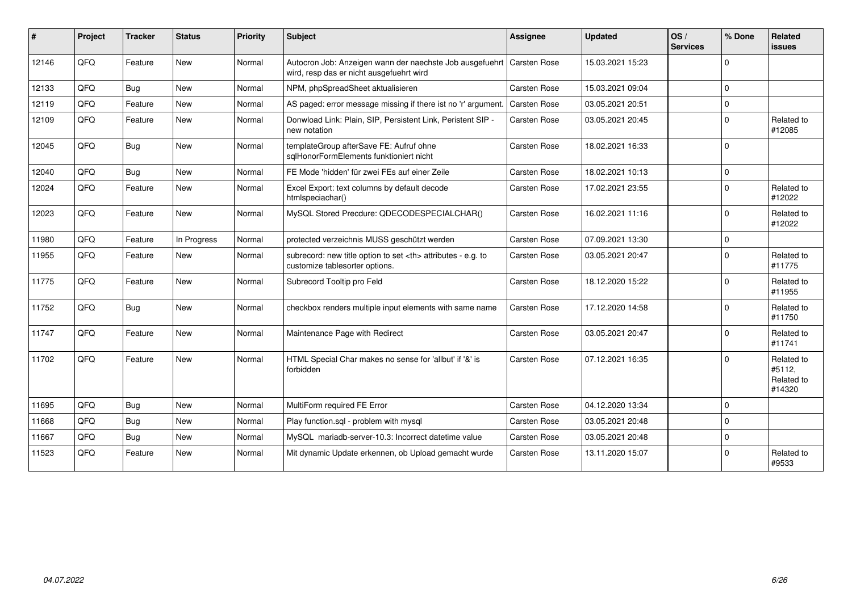| $\vert$ # | Project | <b>Tracker</b> | <b>Status</b> | <b>Priority</b> | <b>Subject</b>                                                                                                      | <b>Assignee</b>                                        | <b>Updated</b>   | OS/<br><b>Services</b> | % Done   | Related<br><b>issues</b>                     |                      |
|-----------|---------|----------------|---------------|-----------------|---------------------------------------------------------------------------------------------------------------------|--------------------------------------------------------|------------------|------------------------|----------|----------------------------------------------|----------------------|
| 12146     | QFQ     | Feature        | <b>New</b>    | Normal          | Autocron Job: Anzeigen wann der naechste Job ausgefuehrt   Carsten Rose<br>wird, resp das er nicht ausgefuehrt wird |                                                        | 15.03.2021 15:23 |                        | $\Omega$ |                                              |                      |
| 12133     | QFQ     | Bug            | <b>New</b>    | Normal          | NPM, phpSpreadSheet aktualisieren                                                                                   | Carsten Rose                                           | 15.03.2021 09:04 |                        | $\Omega$ |                                              |                      |
| 12119     | QFQ     | Feature        | <b>New</b>    | Normal          | AS paged: error message missing if there ist no 'r' argument.                                                       | <b>Carsten Rose</b>                                    | 03.05.2021 20:51 |                        | $\Omega$ |                                              |                      |
| 12109     | QFQ     | Feature        | <b>New</b>    | Normal          | Donwload Link: Plain, SIP, Persistent Link, Peristent SIP -<br>new notation                                         | Carsten Rose                                           | 03.05.2021 20:45 |                        | $\Omega$ | Related to<br>#12085                         |                      |
| 12045     | QFQ     | Bug            | New           | Normal          | templateGroup afterSave FE: Aufruf ohne<br>sqlHonorFormElements funktioniert nicht                                  | Carsten Rose                                           | 18.02.2021 16:33 |                        | $\Omega$ |                                              |                      |
| 12040     | QFQ     | Bug            | New           | Normal          | FE Mode 'hidden' für zwei FEs auf einer Zeile                                                                       | Carsten Rose                                           | 18.02.2021 10:13 |                        | $\Omega$ |                                              |                      |
| 12024     | QFQ     | Feature        | New           | Normal          | Excel Export: text columns by default decode<br>htmlspeciachar()                                                    | Carsten Rose                                           | 17.02.2021 23:55 |                        | $\Omega$ | Related to<br>#12022                         |                      |
| 12023     | QFQ     | Feature        | <b>New</b>    | Normal          | MySQL Stored Precdure: QDECODESPECIALCHAR()                                                                         | <b>Carsten Rose</b>                                    | 16.02.2021 11:16 |                        | $\Omega$ | Related to<br>#12022                         |                      |
| 11980     | QFQ     | Feature        | In Progress   | Normal          | protected verzeichnis MUSS geschützt werden                                                                         | Carsten Rose                                           | 07.09.2021 13:30 |                        | $\Omega$ |                                              |                      |
| 11955     | QFQ     | Feature        | New           | Normal          | subrecord: new title option to set <th> attributes - e.g. to<br/>customize tablesorter options.</th>                | attributes - e.g. to<br>customize tablesorter options. | Carsten Rose     | 03.05.2021 20:47       |          | $\Omega$                                     | Related to<br>#11775 |
| 11775     | QFQ     | Feature        | New           | Normal          | Subrecord Tooltip pro Feld                                                                                          | Carsten Rose                                           | 18.12.2020 15:22 |                        | $\Omega$ | Related to<br>#11955                         |                      |
| 11752     | QFQ     | Bug            | <b>New</b>    | Normal          | checkbox renders multiple input elements with same name                                                             | Carsten Rose                                           | 17.12.2020 14:58 |                        | $\Omega$ | Related to<br>#11750                         |                      |
| 11747     | QFQ     | Feature        | <b>New</b>    | Normal          | Maintenance Page with Redirect                                                                                      | Carsten Rose                                           | 03.05.2021 20:47 |                        | $\Omega$ | Related to<br>#11741                         |                      |
| 11702     | QFQ     | Feature        | <b>New</b>    | Normal          | HTML Special Char makes no sense for 'allbut' if '&' is<br>forbidden                                                | <b>Carsten Rose</b>                                    | 07.12.2021 16:35 |                        | $\Omega$ | Related to<br>#5112,<br>Related to<br>#14320 |                      |
| 11695     | QFQ     | Bug            | <b>New</b>    | Normal          | MultiForm required FE Error                                                                                         | Carsten Rose                                           | 04.12.2020 13:34 |                        | $\Omega$ |                                              |                      |
| 11668     | QFQ     | <b>Bug</b>     | <b>New</b>    | Normal          | Play function.sql - problem with mysql                                                                              | Carsten Rose                                           | 03.05.2021 20:48 |                        | $\Omega$ |                                              |                      |
| 11667     | QFQ     | Bug            | New           | Normal          | MySQL mariadb-server-10.3: Incorrect datetime value                                                                 | <b>Carsten Rose</b>                                    | 03.05.2021 20:48 |                        | $\Omega$ |                                              |                      |
| 11523     | QFQ     | Feature        | <b>New</b>    | Normal          | Mit dynamic Update erkennen, ob Upload gemacht wurde                                                                | Carsten Rose                                           | 13.11.2020 15:07 |                        | $\Omega$ | Related to<br>#9533                          |                      |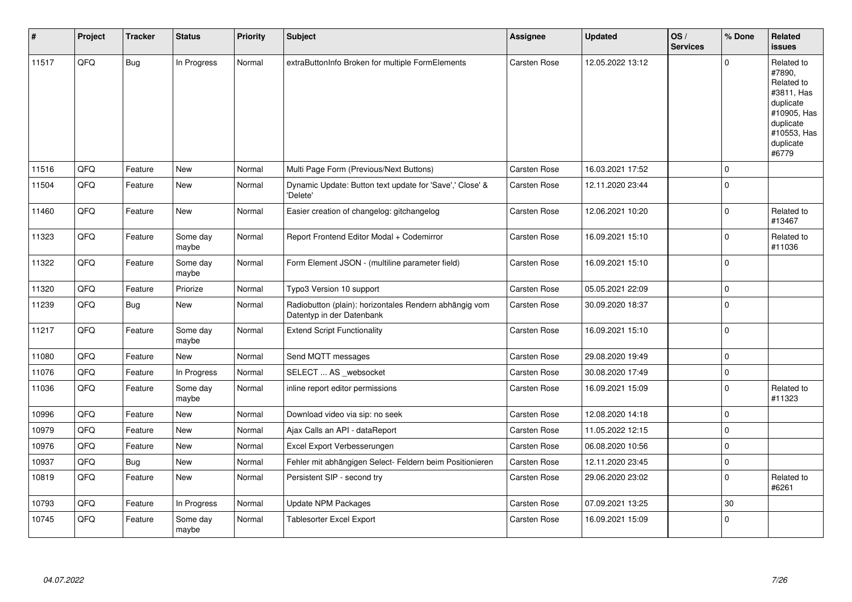| #     | Project | <b>Tracker</b> | <b>Status</b>     | <b>Priority</b> | <b>Subject</b>                                                                      | Assignee            | <b>Updated</b>   | OS/<br><b>Services</b> | % Done      | Related<br><b>issues</b>                                                                                                       |
|-------|---------|----------------|-------------------|-----------------|-------------------------------------------------------------------------------------|---------------------|------------------|------------------------|-------------|--------------------------------------------------------------------------------------------------------------------------------|
| 11517 | QFQ     | Bug            | In Progress       | Normal          | extraButtonInfo Broken for multiple FormElements                                    | Carsten Rose        | 12.05.2022 13:12 |                        | $\Omega$    | Related to<br>#7890,<br>Related to<br>#3811, Has<br>duplicate<br>#10905, Has<br>duplicate<br>#10553, Has<br>duplicate<br>#6779 |
| 11516 | QFQ     | Feature        | <b>New</b>        | Normal          | Multi Page Form (Previous/Next Buttons)                                             | <b>Carsten Rose</b> | 16.03.2021 17:52 |                        | $\mathbf 0$ |                                                                                                                                |
| 11504 | QFQ     | Feature        | <b>New</b>        | Normal          | Dynamic Update: Button text update for 'Save',' Close' &<br>'Delete'                | Carsten Rose        | 12.11.2020 23:44 |                        | $\mathbf 0$ |                                                                                                                                |
| 11460 | QFQ     | Feature        | <b>New</b>        | Normal          | Easier creation of changelog: gitchangelog                                          | Carsten Rose        | 12.06.2021 10:20 |                        | $\mathbf 0$ | Related to<br>#13467                                                                                                           |
| 11323 | QFQ     | Feature        | Some day<br>maybe | Normal          | Report Frontend Editor Modal + Codemirror                                           | Carsten Rose        | 16.09.2021 15:10 |                        | $\mathbf 0$ | Related to<br>#11036                                                                                                           |
| 11322 | QFQ     | Feature        | Some day<br>maybe | Normal          | Form Element JSON - (multiline parameter field)                                     | Carsten Rose        | 16.09.2021 15:10 |                        | $\mathbf 0$ |                                                                                                                                |
| 11320 | QFQ     | Feature        | Priorize          | Normal          | Typo3 Version 10 support                                                            | Carsten Rose        | 05.05.2021 22:09 |                        | $\pmb{0}$   |                                                                                                                                |
| 11239 | QFQ     | Bug            | New               | Normal          | Radiobutton (plain): horizontales Rendern abhängig vom<br>Datentyp in der Datenbank | Carsten Rose        | 30.09.2020 18:37 |                        | $\mathbf 0$ |                                                                                                                                |
| 11217 | QFQ     | Feature        | Some day<br>maybe | Normal          | <b>Extend Script Functionality</b>                                                  | Carsten Rose        | 16.09.2021 15:10 |                        | $\pmb{0}$   |                                                                                                                                |
| 11080 | QFQ     | Feature        | New               | Normal          | Send MQTT messages                                                                  | Carsten Rose        | 29.08.2020 19:49 |                        | $\mathbf 0$ |                                                                                                                                |
| 11076 | QFQ     | Feature        | In Progress       | Normal          | SELECT  AS _websocket                                                               | Carsten Rose        | 30.08.2020 17:49 |                        | $\mathbf 0$ |                                                                                                                                |
| 11036 | QFQ     | Feature        | Some day<br>maybe | Normal          | inline report editor permissions                                                    | Carsten Rose        | 16.09.2021 15:09 |                        | $\mathbf 0$ | Related to<br>#11323                                                                                                           |
| 10996 | QFQ     | Feature        | <b>New</b>        | Normal          | Download video via sip: no seek                                                     | Carsten Rose        | 12.08.2020 14:18 |                        | $\mathbf 0$ |                                                                                                                                |
| 10979 | QFQ     | Feature        | New               | Normal          | Ajax Calls an API - dataReport                                                      | Carsten Rose        | 11.05.2022 12:15 |                        | $\mathbf 0$ |                                                                                                                                |
| 10976 | QFQ     | Feature        | New               | Normal          | Excel Export Verbesserungen                                                         | Carsten Rose        | 06.08.2020 10:56 |                        | $\mathbf 0$ |                                                                                                                                |
| 10937 | QFQ     | <b>Bug</b>     | <b>New</b>        | Normal          | Fehler mit abhängigen Select- Feldern beim Positionieren                            | <b>Carsten Rose</b> | 12.11.2020 23:45 |                        | $\mathbf 0$ |                                                                                                                                |
| 10819 | QFQ     | Feature        | <b>New</b>        | Normal          | Persistent SIP - second try                                                         | Carsten Rose        | 29.06.2020 23:02 |                        | $\mathbf 0$ | Related to<br>#6261                                                                                                            |
| 10793 | QFQ     | Feature        | In Progress       | Normal          | Update NPM Packages                                                                 | <b>Carsten Rose</b> | 07.09.2021 13:25 |                        | 30          |                                                                                                                                |
| 10745 | QFQ     | Feature        | Some day<br>maybe | Normal          | Tablesorter Excel Export                                                            | Carsten Rose        | 16.09.2021 15:09 |                        | $\mathbf 0$ |                                                                                                                                |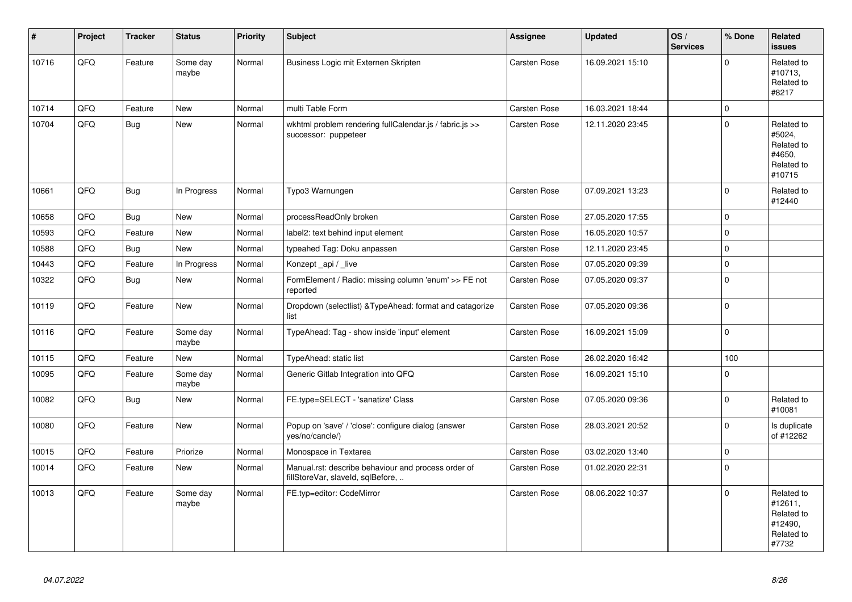| #     | Project | <b>Tracker</b> | <b>Status</b>     | <b>Priority</b> | <b>Subject</b>                                                                           | <b>Assignee</b>     | <b>Updated</b>   | OS/<br><b>Services</b> | % Done      | Related<br><b>issues</b>                                              |
|-------|---------|----------------|-------------------|-----------------|------------------------------------------------------------------------------------------|---------------------|------------------|------------------------|-------------|-----------------------------------------------------------------------|
| 10716 | QFQ     | Feature        | Some day<br>maybe | Normal          | Business Logic mit Externen Skripten                                                     | Carsten Rose        | 16.09.2021 15:10 |                        | $\Omega$    | Related to<br>#10713,<br>Related to<br>#8217                          |
| 10714 | QFQ     | Feature        | <b>New</b>        | Normal          | multi Table Form                                                                         | Carsten Rose        | 16.03.2021 18:44 |                        | $\mathbf 0$ |                                                                       |
| 10704 | QFQ     | Bug            | New               | Normal          | wkhtml problem rendering fullCalendar.js / fabric.js >><br>successor: puppeteer          | <b>Carsten Rose</b> | 12.11.2020 23:45 |                        | $\Omega$    | Related to<br>#5024,<br>Related to<br>#4650,<br>Related to<br>#10715  |
| 10661 | QFQ     | <b>Bug</b>     | In Progress       | Normal          | Typo3 Warnungen                                                                          | Carsten Rose        | 07.09.2021 13:23 |                        | $\Omega$    | Related to<br>#12440                                                  |
| 10658 | QFO     | <b>Bug</b>     | <b>New</b>        | Normal          | processReadOnly broken                                                                   | Carsten Rose        | 27.05.2020 17:55 |                        | $\mathbf 0$ |                                                                       |
| 10593 | QFQ     | Feature        | New               | Normal          | label2: text behind input element                                                        | Carsten Rose        | 16.05.2020 10:57 |                        | $\Omega$    |                                                                       |
| 10588 | QFQ     | <b>Bug</b>     | <b>New</b>        | Normal          | typeahed Tag: Doku anpassen                                                              | Carsten Rose        | 12.11.2020 23:45 |                        | 0           |                                                                       |
| 10443 | QFQ     | Feature        | In Progress       | Normal          | Konzept_api / _live                                                                      | Carsten Rose        | 07.05.2020 09:39 |                        | 0           |                                                                       |
| 10322 | QFQ     | <b>Bug</b>     | <b>New</b>        | Normal          | FormElement / Radio: missing column 'enum' >> FE not<br>reported                         | Carsten Rose        | 07.05.2020 09:37 |                        | $\mathbf 0$ |                                                                       |
| 10119 | QFQ     | Feature        | New               | Normal          | Dropdown (selectlist) & TypeAhead: format and catagorize<br>list                         | Carsten Rose        | 07.05.2020 09:36 |                        | $\Omega$    |                                                                       |
| 10116 | QFO     | Feature        | Some day<br>maybe | Normal          | TypeAhead: Tag - show inside 'input' element                                             | Carsten Rose        | 16.09.2021 15:09 |                        | $\mathbf 0$ |                                                                       |
| 10115 | QFQ     | Feature        | New               | Normal          | TypeAhead: static list                                                                   | Carsten Rose        | 26.02.2020 16:42 |                        | 100         |                                                                       |
| 10095 | QFQ     | Feature        | Some day<br>maybe | Normal          | Generic Gitlab Integration into QFQ                                                      | Carsten Rose        | 16.09.2021 15:10 |                        | $\mathbf 0$ |                                                                       |
| 10082 | QFQ     | Bug            | New               | Normal          | FE.type=SELECT - 'sanatize' Class                                                        | Carsten Rose        | 07.05.2020 09:36 |                        | $\Omega$    | Related to<br>#10081                                                  |
| 10080 | QFQ     | Feature        | New               | Normal          | Popup on 'save' / 'close': configure dialog (answer<br>yes/no/cancle/)                   | Carsten Rose        | 28.03.2021 20:52 |                        | $\Omega$    | Is duplicate<br>of #12262                                             |
| 10015 | QFQ     | Feature        | Priorize          | Normal          | Monospace in Textarea                                                                    | Carsten Rose        | 03.02.2020 13:40 |                        | $\pmb{0}$   |                                                                       |
| 10014 | QFQ     | Feature        | <b>New</b>        | Normal          | Manual.rst: describe behaviour and process order of<br>fillStoreVar, slaveId, sqlBefore, | Carsten Rose        | 01.02.2020 22:31 |                        | $\Omega$    |                                                                       |
| 10013 | QFQ     | Feature        | Some day<br>maybe | Normal          | FE.typ=editor: CodeMirror                                                                | Carsten Rose        | 08.06.2022 10:37 |                        | $\Omega$    | Related to<br>#12611,<br>Related to<br>#12490,<br>Related to<br>#7732 |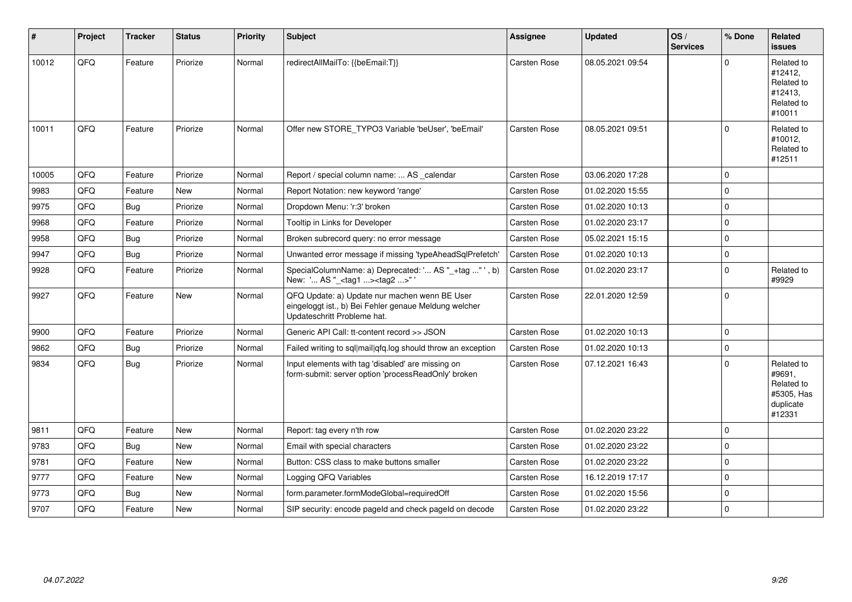| $\vert$ # | Project | <b>Tracker</b> | <b>Status</b> | <b>Priority</b> | Subject                                                                                                                               | <b>Assignee</b>     | <b>Updated</b>   | OS/<br><b>Services</b> | % Done      | Related<br><b>issues</b>                                                |
|-----------|---------|----------------|---------------|-----------------|---------------------------------------------------------------------------------------------------------------------------------------|---------------------|------------------|------------------------|-------------|-------------------------------------------------------------------------|
| 10012     | QFQ     | Feature        | Priorize      | Normal          | redirectAllMailTo: {{beEmail:T}}                                                                                                      | Carsten Rose        | 08.05.2021 09:54 |                        | $\Omega$    | Related to<br>#12412,<br>Related to<br>#12413,<br>Related to<br>#10011  |
| 10011     | QFQ     | Feature        | Priorize      | Normal          | Offer new STORE_TYPO3 Variable 'beUser', 'beEmail'                                                                                    | Carsten Rose        | 08.05.2021 09:51 |                        | $\Omega$    | Related to<br>#10012,<br>Related to<br>#12511                           |
| 10005     | QFQ     | Feature        | Priorize      | Normal          | Report / special column name:  AS calendar                                                                                            | Carsten Rose        | 03.06.2020 17:28 |                        | $\mathbf 0$ |                                                                         |
| 9983      | QFQ     | Feature        | New           | Normal          | Report Notation: new keyword 'range'                                                                                                  | Carsten Rose        | 01.02.2020 15:55 |                        | $\Omega$    |                                                                         |
| 9975      | QFQ     | <b>Bug</b>     | Priorize      | Normal          | Dropdown Menu: 'r:3' broken                                                                                                           | Carsten Rose        | 01.02.2020 10:13 |                        | $\mathbf 0$ |                                                                         |
| 9968      | QFQ     | Feature        | Priorize      | Normal          | Tooltip in Links for Developer                                                                                                        | Carsten Rose        | 01.02.2020 23:17 |                        | $\mathbf 0$ |                                                                         |
| 9958      | QFQ     | <b>Bug</b>     | Priorize      | Normal          | Broken subrecord query: no error message                                                                                              | Carsten Rose        | 05.02.2021 15:15 |                        | $\mathbf 0$ |                                                                         |
| 9947      | QFQ     | <b>Bug</b>     | Priorize      | Normal          | Unwanted error message if missing 'typeAheadSqlPrefetch'                                                                              | Carsten Rose        | 01.02.2020 10:13 |                        | $\mathbf 0$ |                                                                         |
| 9928      | QFQ     | Feature        | Priorize      | Normal          | SpecialColumnName: a) Deprecated: ' AS "_+tag " ', b)<br>New: ' AS "_ <tag1><tag2>"</tag2></tag1>                                     | <b>Carsten Rose</b> | 01.02.2020 23:17 |                        | $\mathbf 0$ | Related to<br>#9929                                                     |
| 9927      | QFQ     | Feature        | New           | Normal          | QFQ Update: a) Update nur machen wenn BE User<br>eingeloggt ist., b) Bei Fehler genaue Meldung welcher<br>Updateschritt Probleme hat. | Carsten Rose        | 22.01.2020 12:59 |                        | $\mathbf 0$ |                                                                         |
| 9900      | QFQ     | Feature        | Priorize      | Normal          | Generic API Call: tt-content record >> JSON                                                                                           | Carsten Rose        | 01.02.2020 10:13 |                        | $\mathbf 0$ |                                                                         |
| 9862      | QFQ     | Bug            | Priorize      | Normal          | Failed writing to sql mail qfq.log should throw an exception                                                                          | <b>Carsten Rose</b> | 01.02.2020 10:13 |                        | $\Omega$    |                                                                         |
| 9834      | QFQ     | Bug            | Priorize      | Normal          | Input elements with tag 'disabled' are missing on<br>form-submit: server option 'processReadOnly' broken                              | Carsten Rose        | 07.12.2021 16:43 |                        | $\Omega$    | Related to<br>#9691,<br>Related to<br>#5305, Has<br>duplicate<br>#12331 |
| 9811      | QFQ     | Feature        | New           | Normal          | Report: tag every n'th row                                                                                                            | Carsten Rose        | 01.02.2020 23:22 |                        | $\mathbf 0$ |                                                                         |
| 9783      | QFQ     | Bug            | New           | Normal          | Email with special characters                                                                                                         | Carsten Rose        | 01.02.2020 23:22 |                        | $\mathbf 0$ |                                                                         |
| 9781      | QFQ     | Feature        | New           | Normal          | Button: CSS class to make buttons smaller                                                                                             | Carsten Rose        | 01.02.2020 23:22 |                        | $\mathbf 0$ |                                                                         |
| 9777      | QFQ     | Feature        | New           | Normal          | Logging QFQ Variables                                                                                                                 | Carsten Rose        | 16.12.2019 17:17 |                        | $\mathbf 0$ |                                                                         |
| 9773      | QFQ     | <b>Bug</b>     | New           | Normal          | form.parameter.formModeGlobal=requiredOff                                                                                             | Carsten Rose        | 01.02.2020 15:56 |                        | $\Omega$    |                                                                         |
| 9707      | QFQ     | Feature        | <b>New</b>    | Normal          | SIP security: encode pageld and check pageld on decode                                                                                | Carsten Rose        | 01.02.2020 23:22 |                        | $\Omega$    |                                                                         |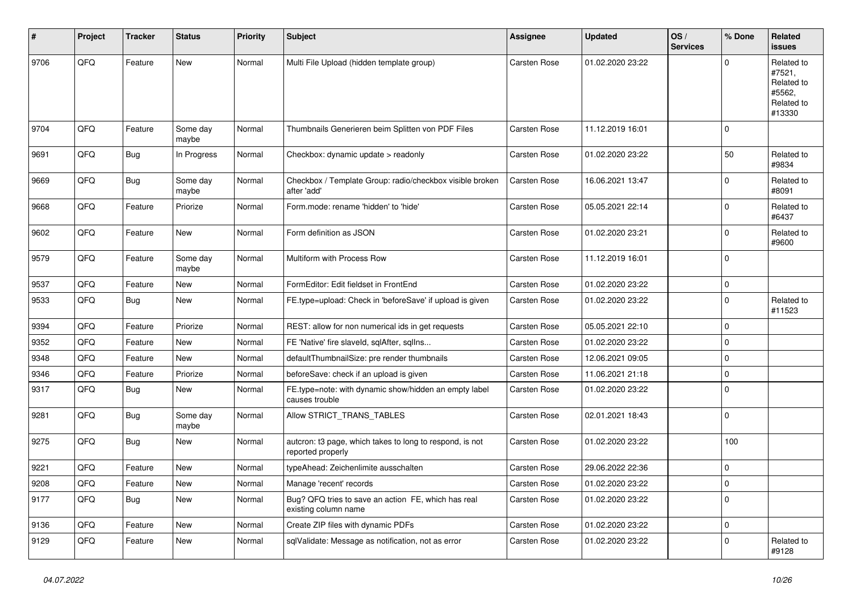| ∦    | Project | <b>Tracker</b> | <b>Status</b>     | <b>Priority</b> | <b>Subject</b>                                                                | <b>Assignee</b>     | <b>Updated</b>   | OS/<br><b>Services</b> | % Done       | Related<br><b>issues</b>                                             |
|------|---------|----------------|-------------------|-----------------|-------------------------------------------------------------------------------|---------------------|------------------|------------------------|--------------|----------------------------------------------------------------------|
| 9706 | QFQ     | Feature        | New               | Normal          | Multi File Upload (hidden template group)                                     | Carsten Rose        | 01.02.2020 23:22 |                        | $\Omega$     | Related to<br>#7521,<br>Related to<br>#5562,<br>Related to<br>#13330 |
| 9704 | QFQ     | Feature        | Some day<br>maybe | Normal          | Thumbnails Generieren beim Splitten von PDF Files                             | Carsten Rose        | 11.12.2019 16:01 |                        | $\Omega$     |                                                                      |
| 9691 | QFQ     | Bug            | In Progress       | Normal          | Checkbox: dynamic update > readonly                                           | Carsten Rose        | 01.02.2020 23:22 |                        | 50           | Related to<br>#9834                                                  |
| 9669 | QFQ     | <b>Bug</b>     | Some day<br>maybe | Normal          | Checkbox / Template Group: radio/checkbox visible broken<br>after 'add'       | Carsten Rose        | 16.06.2021 13:47 |                        | $\mathbf 0$  | Related to<br>#8091                                                  |
| 9668 | QFQ     | Feature        | Priorize          | Normal          | Form.mode: rename 'hidden' to 'hide'                                          | Carsten Rose        | 05.05.2021 22:14 |                        | $\Omega$     | Related to<br>#6437                                                  |
| 9602 | QFQ     | Feature        | <b>New</b>        | Normal          | Form definition as JSON                                                       | Carsten Rose        | 01.02.2020 23:21 |                        | $\mathbf{0}$ | Related to<br>#9600                                                  |
| 9579 | QFQ     | Feature        | Some day<br>maybe | Normal          | Multiform with Process Row                                                    | Carsten Rose        | 11.12.2019 16:01 |                        | $\mathbf 0$  |                                                                      |
| 9537 | QFQ     | Feature        | New               | Normal          | FormEditor: Edit fieldset in FrontEnd                                         | Carsten Rose        | 01.02.2020 23:22 |                        | $\pmb{0}$    |                                                                      |
| 9533 | QFQ     | <b>Bug</b>     | <b>New</b>        | Normal          | FE.type=upload: Check in 'beforeSave' if upload is given                      | Carsten Rose        | 01.02.2020 23:22 |                        | $\mathbf 0$  | Related to<br>#11523                                                 |
| 9394 | QFQ     | Feature        | Priorize          | Normal          | REST: allow for non numerical ids in get requests                             | Carsten Rose        | 05.05.2021 22:10 |                        | $\mathbf 0$  |                                                                      |
| 9352 | QFQ     | Feature        | <b>New</b>        | Normal          | FE 'Native' fire slaveld, sqlAfter, sqllns                                    | Carsten Rose        | 01.02.2020 23:22 |                        | $\mathbf 0$  |                                                                      |
| 9348 | QFQ     | Feature        | <b>New</b>        | Normal          | defaultThumbnailSize: pre render thumbnails                                   | Carsten Rose        | 12.06.2021 09:05 |                        | $\mathbf 0$  |                                                                      |
| 9346 | QFQ     | Feature        | Priorize          | Normal          | beforeSave: check if an upload is given                                       | <b>Carsten Rose</b> | 11.06.2021 21:18 |                        | $\mathbf 0$  |                                                                      |
| 9317 | QFQ     | Bug            | <b>New</b>        | Normal          | FE.type=note: with dynamic show/hidden an empty label<br>causes trouble       | Carsten Rose        | 01.02.2020 23:22 |                        | $\mathbf 0$  |                                                                      |
| 9281 | QFQ     | <b>Bug</b>     | Some day<br>maybe | Normal          | Allow STRICT_TRANS_TABLES                                                     | Carsten Rose        | 02.01.2021 18:43 |                        | $\mathbf 0$  |                                                                      |
| 9275 | QFQ     | <b>Bug</b>     | <b>New</b>        | Normal          | autcron: t3 page, which takes to long to respond, is not<br>reported properly | Carsten Rose        | 01.02.2020 23:22 |                        | 100          |                                                                      |
| 9221 | QFQ     | Feature        | <b>New</b>        | Normal          | typeAhead: Zeichenlimite ausschalten                                          | Carsten Rose        | 29.06.2022 22:36 |                        | $\mathbf 0$  |                                                                      |
| 9208 | QFQ     | Feature        | <b>New</b>        | Normal          | Manage 'recent' records                                                       | Carsten Rose        | 01.02.2020 23:22 |                        | $\pmb{0}$    |                                                                      |
| 9177 | QFQ     | Bug            | <b>New</b>        | Normal          | Bug? QFQ tries to save an action FE, which has real<br>existing column name   | Carsten Rose        | 01.02.2020 23:22 |                        | $\mathbf 0$  |                                                                      |
| 9136 | QFQ     | Feature        | <b>New</b>        | Normal          | Create ZIP files with dynamic PDFs                                            | Carsten Rose        | 01.02.2020 23:22 |                        | $\mathbf 0$  |                                                                      |
| 9129 | QFQ     | Feature        | <b>New</b>        | Normal          | sqlValidate: Message as notification, not as error                            | Carsten Rose        | 01.02.2020 23:22 |                        | $\Omega$     | Related to<br>#9128                                                  |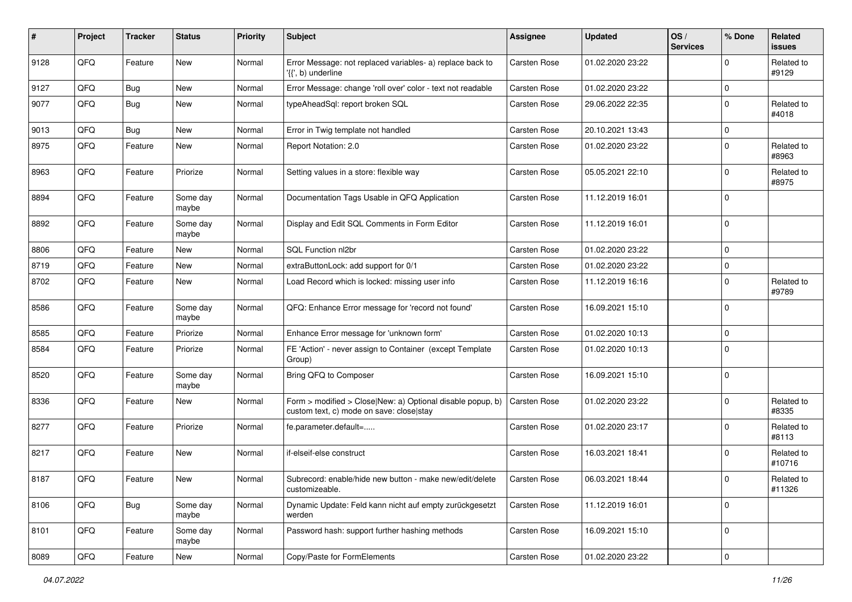| #    | Project | <b>Tracker</b> | <b>Status</b>     | <b>Priority</b> | <b>Subject</b>                                                                                         | <b>Assignee</b>     | <b>Updated</b>   | OS/<br><b>Services</b> | % Done      | <b>Related</b><br><b>issues</b> |
|------|---------|----------------|-------------------|-----------------|--------------------------------------------------------------------------------------------------------|---------------------|------------------|------------------------|-------------|---------------------------------|
| 9128 | QFQ     | Feature        | New               | Normal          | Error Message: not replaced variables- a) replace back to<br>'{{', b) underline                        | <b>Carsten Rose</b> | 01.02.2020 23:22 |                        | $\mathbf 0$ | Related to<br>#9129             |
| 9127 | QFQ     | Bug            | New               | Normal          | Error Message: change 'roll over' color - text not readable                                            | <b>Carsten Rose</b> | 01.02.2020 23:22 |                        | $\pmb{0}$   |                                 |
| 9077 | QFQ     | Bug            | <b>New</b>        | Normal          | typeAheadSql: report broken SQL                                                                        | <b>Carsten Rose</b> | 29.06.2022 22:35 |                        | $\mathbf 0$ | Related to<br>#4018             |
| 9013 | QFQ     | Bug            | <b>New</b>        | Normal          | Error in Twig template not handled                                                                     | Carsten Rose        | 20.10.2021 13:43 |                        | $\mathbf 0$ |                                 |
| 8975 | QFQ     | Feature        | New               | Normal          | Report Notation: 2.0                                                                                   | Carsten Rose        | 01.02.2020 23:22 |                        | $\mathbf 0$ | Related to<br>#8963             |
| 8963 | QFQ     | Feature        | Priorize          | Normal          | Setting values in a store: flexible way                                                                | <b>Carsten Rose</b> | 05.05.2021 22:10 |                        | $\mathbf 0$ | Related to<br>#8975             |
| 8894 | QFQ     | Feature        | Some day<br>maybe | Normal          | Documentation Tags Usable in QFQ Application                                                           | Carsten Rose        | 11.12.2019 16:01 |                        | $\mathbf 0$ |                                 |
| 8892 | QFQ     | Feature        | Some day<br>maybe | Normal          | Display and Edit SQL Comments in Form Editor                                                           | <b>Carsten Rose</b> | 11.12.2019 16:01 |                        | $\mathbf 0$ |                                 |
| 8806 | QFQ     | Feature        | New               | Normal          | SQL Function nl2br                                                                                     | <b>Carsten Rose</b> | 01.02.2020 23:22 |                        | $\mathbf 0$ |                                 |
| 8719 | QFQ     | Feature        | New               | Normal          | extraButtonLock: add support for 0/1                                                                   | Carsten Rose        | 01.02.2020 23:22 |                        | $\mathbf 0$ |                                 |
| 8702 | QFQ     | Feature        | New               | Normal          | Load Record which is locked: missing user info                                                         | <b>Carsten Rose</b> | 11.12.2019 16:16 |                        | $\mathbf 0$ | Related to<br>#9789             |
| 8586 | QFQ     | Feature        | Some day<br>maybe | Normal          | QFQ: Enhance Error message for 'record not found'                                                      | <b>Carsten Rose</b> | 16.09.2021 15:10 |                        | $\mathbf 0$ |                                 |
| 8585 | QFQ     | Feature        | Priorize          | Normal          | Enhance Error message for 'unknown form'                                                               | <b>Carsten Rose</b> | 01.02.2020 10:13 |                        | $\pmb{0}$   |                                 |
| 8584 | QFQ     | Feature        | Priorize          | Normal          | FE 'Action' - never assign to Container (except Template<br>Group)                                     | <b>Carsten Rose</b> | 01.02.2020 10:13 |                        | $\mathbf 0$ |                                 |
| 8520 | QFQ     | Feature        | Some day<br>maybe | Normal          | Bring QFQ to Composer                                                                                  | <b>Carsten Rose</b> | 16.09.2021 15:10 |                        | $\mathbf 0$ |                                 |
| 8336 | QFQ     | Feature        | New               | Normal          | Form > modified > Close New: a) Optional disable popup, b)<br>custom text, c) mode on save: close stay | <b>Carsten Rose</b> | 01.02.2020 23:22 |                        | $\mathbf 0$ | Related to<br>#8335             |
| 8277 | QFQ     | Feature        | Priorize          | Normal          | fe.parameter.default=                                                                                  | Carsten Rose        | 01.02.2020 23:17 |                        | $\mathbf 0$ | Related to<br>#8113             |
| 8217 | QFQ     | Feature        | New               | Normal          | if-elseif-else construct                                                                               | Carsten Rose        | 16.03.2021 18:41 |                        | $\mathbf 0$ | Related to<br>#10716            |
| 8187 | QFQ     | Feature        | New               | Normal          | Subrecord: enable/hide new button - make new/edit/delete<br>customizeable.                             | Carsten Rose        | 06.03.2021 18:44 |                        | $\mathbf 0$ | Related to<br>#11326            |
| 8106 | QFQ     | Bug            | Some day<br>maybe | Normal          | Dynamic Update: Feld kann nicht auf empty zurückgesetzt<br>werden                                      | Carsten Rose        | 11.12.2019 16:01 |                        | $\mathbf 0$ |                                 |
| 8101 | QFQ     | Feature        | Some day<br>maybe | Normal          | Password hash: support further hashing methods                                                         | Carsten Rose        | 16.09.2021 15:10 |                        | $\mathbf 0$ |                                 |
| 8089 | QFQ     | Feature        | New               | Normal          | Copy/Paste for FormElements                                                                            | Carsten Rose        | 01.02.2020 23:22 |                        | $\pmb{0}$   |                                 |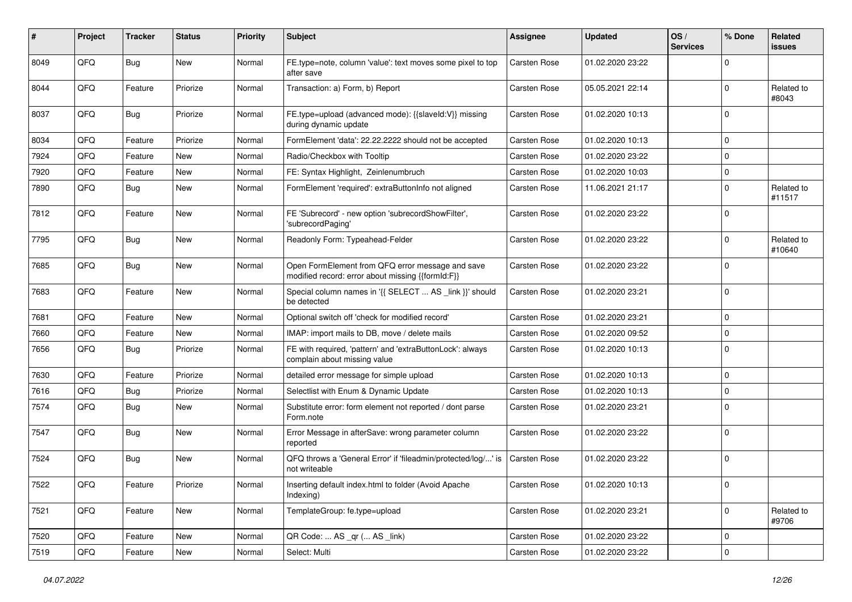| ∦    | Project | <b>Tracker</b> | <b>Status</b> | <b>Priority</b> | Subject                                                                                               | <b>Assignee</b>     | <b>Updated</b>   | OS/<br><b>Services</b> | % Done       | Related<br><b>issues</b> |
|------|---------|----------------|---------------|-----------------|-------------------------------------------------------------------------------------------------------|---------------------|------------------|------------------------|--------------|--------------------------|
| 8049 | QFQ     | <b>Bug</b>     | <b>New</b>    | Normal          | FE.type=note, column 'value': text moves some pixel to top<br>after save                              | <b>Carsten Rose</b> | 01.02.2020 23:22 |                        | $\Omega$     |                          |
| 8044 | QFQ     | Feature        | Priorize      | Normal          | Transaction: a) Form, b) Report                                                                       | Carsten Rose        | 05.05.2021 22:14 |                        | $\mathbf 0$  | Related to<br>#8043      |
| 8037 | QFQ     | Bug            | Priorize      | Normal          | FE.type=upload (advanced mode): {{slaveId:V}} missing<br>during dynamic update                        | Carsten Rose        | 01.02.2020 10:13 |                        | $\mathbf 0$  |                          |
| 8034 | QFQ     | Feature        | Priorize      | Normal          | FormElement 'data': 22.22.2222 should not be accepted                                                 | <b>Carsten Rose</b> | 01.02.2020 10:13 |                        | $\mathbf 0$  |                          |
| 7924 | QFQ     | Feature        | New           | Normal          | Radio/Checkbox with Tooltip                                                                           | <b>Carsten Rose</b> | 01.02.2020 23:22 |                        | $\mathbf 0$  |                          |
| 7920 | QFQ     | Feature        | <b>New</b>    | Normal          | FE: Syntax Highlight, Zeinlenumbruch                                                                  | Carsten Rose        | 01.02.2020 10:03 |                        | $\mathbf 0$  |                          |
| 7890 | QFQ     | <b>Bug</b>     | New           | Normal          | FormElement 'required': extraButtonInfo not aligned                                                   | Carsten Rose        | 11.06.2021 21:17 |                        | $\mathbf 0$  | Related to<br>#11517     |
| 7812 | QFQ     | Feature        | <b>New</b>    | Normal          | FE 'Subrecord' - new option 'subrecordShowFilter',<br>'subrecordPaging'                               | Carsten Rose        | 01.02.2020 23:22 |                        | $\Omega$     |                          |
| 7795 | QFQ     | Bug            | <b>New</b>    | Normal          | Readonly Form: Typeahead-Felder                                                                       | Carsten Rose        | 01.02.2020 23:22 |                        | $\mathbf 0$  | Related to<br>#10640     |
| 7685 | QFQ     | <b>Bug</b>     | <b>New</b>    | Normal          | Open FormElement from QFQ error message and save<br>modified record: error about missing {{formId:F}} | Carsten Rose        | 01.02.2020 23:22 |                        | $\mathbf 0$  |                          |
| 7683 | QFQ     | Feature        | New           | Normal          | Special column names in '{{ SELECT  AS _link }}' should<br>be detected                                | Carsten Rose        | 01.02.2020 23:21 |                        | $\mathbf 0$  |                          |
| 7681 | QFQ     | Feature        | <b>New</b>    | Normal          | Optional switch off 'check for modified record'                                                       | Carsten Rose        | 01.02.2020 23:21 |                        | $\mathbf 0$  |                          |
| 7660 | QFQ     | Feature        | New           | Normal          | IMAP: import mails to DB, move / delete mails                                                         | Carsten Rose        | 01.02.2020 09:52 |                        | $\mathbf 0$  |                          |
| 7656 | QFQ     | Bug            | Priorize      | Normal          | FE with required, 'pattern' and 'extraButtonLock': always<br>complain about missing value             | Carsten Rose        | 01.02.2020 10:13 |                        | $\mathbf 0$  |                          |
| 7630 | QFQ     | Feature        | Priorize      | Normal          | detailed error message for simple upload                                                              | Carsten Rose        | 01.02.2020 10:13 |                        | $\mathbf 0$  |                          |
| 7616 | QFQ     | <b>Bug</b>     | Priorize      | Normal          | Selectlist with Enum & Dynamic Update                                                                 | Carsten Rose        | 01.02.2020 10:13 |                        | $\mathbf 0$  |                          |
| 7574 | QFQ     | Bug            | New           | Normal          | Substitute error: form element not reported / dont parse<br>Form.note                                 | Carsten Rose        | 01.02.2020 23:21 |                        | $\mathbf 0$  |                          |
| 7547 | QFQ     | <b>Bug</b>     | <b>New</b>    | Normal          | Error Message in afterSave: wrong parameter column<br>reported                                        | Carsten Rose        | 01.02.2020 23:22 |                        | $\mathbf 0$  |                          |
| 7524 | QFQ     | Bug            | <b>New</b>    | Normal          | QFQ throws a 'General Error' if 'fileadmin/protected/log/' is<br>not writeable                        | Carsten Rose        | 01.02.2020 23:22 |                        | $\mathbf 0$  |                          |
| 7522 | QFQ     | Feature        | Priorize      | Normal          | Inserting default index.html to folder (Avoid Apache<br>Indexing)                                     | Carsten Rose        | 01.02.2020 10:13 |                        | 0            |                          |
| 7521 | QFG     | Feature        | New           | Normal          | TemplateGroup: fe.type=upload                                                                         | Carsten Rose        | 01.02.2020 23:21 |                        | $\mathbf 0$  | Related to<br>#9706      |
| 7520 | QFQ     | Feature        | New           | Normal          | QR Code:  AS _qr ( AS _link)                                                                          | Carsten Rose        | 01.02.2020 23:22 |                        | $\mathbf 0$  |                          |
| 7519 | QFG     | Feature        | New           | Normal          | Select: Multi                                                                                         | Carsten Rose        | 01.02.2020 23:22 |                        | $\mathbf{0}$ |                          |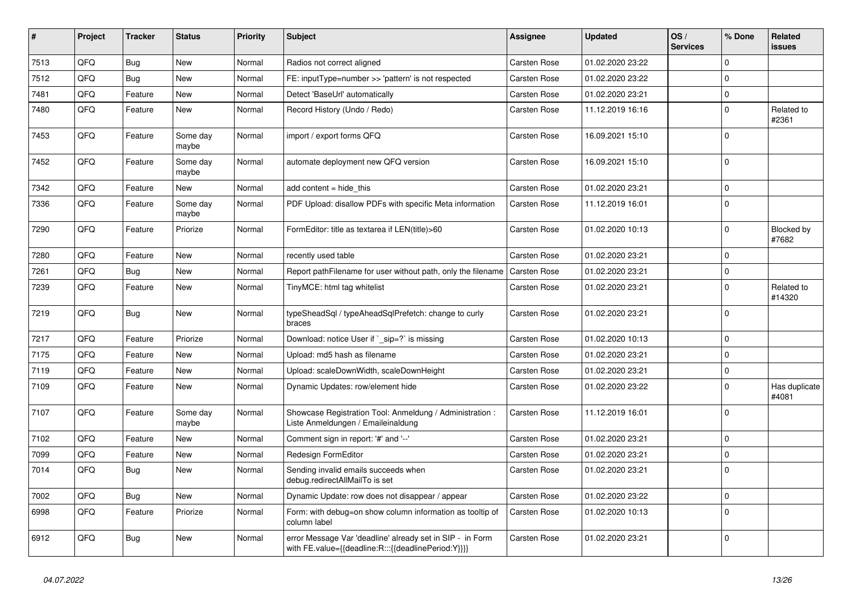| #    | Project | <b>Tracker</b> | <b>Status</b>     | <b>Priority</b> | <b>Subject</b>                                                                                                   | Assignee            | <b>Updated</b>   | OS/<br><b>Services</b> | % Done      | Related<br><b>issues</b> |
|------|---------|----------------|-------------------|-----------------|------------------------------------------------------------------------------------------------------------------|---------------------|------------------|------------------------|-------------|--------------------------|
| 7513 | QFQ     | <b>Bug</b>     | <b>New</b>        | Normal          | Radios not correct aligned                                                                                       | Carsten Rose        | 01.02.2020 23:22 |                        | $\Omega$    |                          |
| 7512 | QFQ     | <b>Bug</b>     | <b>New</b>        | Normal          | FE: inputType=number >> 'pattern' is not respected                                                               | Carsten Rose        | 01.02.2020 23:22 |                        | $\Omega$    |                          |
| 7481 | QFQ     | Feature        | <b>New</b>        | Normal          | Detect 'BaseUrl' automatically                                                                                   | Carsten Rose        | 01.02.2020 23:21 |                        | $\mathbf 0$ |                          |
| 7480 | QFQ     | Feature        | <b>New</b>        | Normal          | Record History (Undo / Redo)                                                                                     | <b>Carsten Rose</b> | 11.12.2019 16:16 |                        | $\Omega$    | Related to<br>#2361      |
| 7453 | QFQ     | Feature        | Some day<br>maybe | Normal          | import / export forms QFQ                                                                                        | Carsten Rose        | 16.09.2021 15:10 |                        | $\Omega$    |                          |
| 7452 | QFQ     | Feature        | Some day<br>maybe | Normal          | automate deployment new QFQ version                                                                              | Carsten Rose        | 16.09.2021 15:10 |                        | $\mathbf 0$ |                          |
| 7342 | QFQ     | Feature        | New               | Normal          | add content = hide this                                                                                          | Carsten Rose        | 01.02.2020 23:21 |                        | $\mathbf 0$ |                          |
| 7336 | QFQ     | Feature        | Some day<br>maybe | Normal          | PDF Upload: disallow PDFs with specific Meta information                                                         | Carsten Rose        | 11.12.2019 16:01 |                        | $\Omega$    |                          |
| 7290 | QFQ     | Feature        | Priorize          | Normal          | FormEditor: title as textarea if LEN(title)>60                                                                   | Carsten Rose        | 01.02.2020 10:13 |                        | $\Omega$    | Blocked by<br>#7682      |
| 7280 | QFQ     | Feature        | New               | Normal          | recently used table                                                                                              | Carsten Rose        | 01.02.2020 23:21 |                        | $\mathbf 0$ |                          |
| 7261 | QFQ     | Bug            | New               | Normal          | Report pathFilename for user without path, only the filename                                                     | <b>Carsten Rose</b> | 01.02.2020 23:21 |                        | $\mathbf 0$ |                          |
| 7239 | QFQ     | Feature        | New               | Normal          | TinyMCE: html tag whitelist                                                                                      | Carsten Rose        | 01.02.2020 23:21 |                        | $\mathbf 0$ | Related to<br>#14320     |
| 7219 | QFQ     | Bug            | New               | Normal          | typeSheadSql / typeAheadSqlPrefetch: change to curly<br>braces                                                   | Carsten Rose        | 01.02.2020 23:21 |                        | $\mathbf 0$ |                          |
| 7217 | QFQ     | Feature        | Priorize          | Normal          | Download: notice User if `_sip=?` is missing                                                                     | Carsten Rose        | 01.02.2020 10:13 |                        | $\mathbf 0$ |                          |
| 7175 | QFQ     | Feature        | New               | Normal          | Upload: md5 hash as filename                                                                                     | Carsten Rose        | 01.02.2020 23:21 |                        | $\pmb{0}$   |                          |
| 7119 | QFQ     | Feature        | <b>New</b>        | Normal          | Upload: scaleDownWidth, scaleDownHeight                                                                          | Carsten Rose        | 01.02.2020 23:21 |                        | $\mathbf 0$ |                          |
| 7109 | QFQ     | Feature        | <b>New</b>        | Normal          | Dynamic Updates: row/element hide                                                                                | <b>Carsten Rose</b> | 01.02.2020 23:22 |                        | $\Omega$    | Has duplicate<br>#4081   |
| 7107 | QFQ     | Feature        | Some day<br>maybe | Normal          | Showcase Registration Tool: Anmeldung / Administration :<br>Liste Anmeldungen / Emaileinaldung                   | <b>Carsten Rose</b> | 11.12.2019 16:01 |                        | $\mathbf 0$ |                          |
| 7102 | QFQ     | Feature        | New               | Normal          | Comment sign in report: '#' and '--'                                                                             | Carsten Rose        | 01.02.2020 23:21 |                        | $\mathbf 0$ |                          |
| 7099 | QFQ     | Feature        | New               | Normal          | <b>Redesign FormEditor</b>                                                                                       | Carsten Rose        | 01.02.2020 23:21 |                        | $\mathbf 0$ |                          |
| 7014 | QFQ     | Bug            | New               | Normal          | Sending invalid emails succeeds when<br>debug.redirectAllMailTo is set                                           | Carsten Rose        | 01.02.2020 23:21 |                        | $\Omega$    |                          |
| 7002 | QFQ     | <b>Bug</b>     | New               | Normal          | Dynamic Update: row does not disappear / appear                                                                  | Carsten Rose        | 01.02.2020 23:22 |                        | $\pmb{0}$   |                          |
| 6998 | QFQ     | Feature        | Priorize          | Normal          | Form: with debug=on show column information as tooltip of<br>column label                                        | <b>Carsten Rose</b> | 01.02.2020 10:13 |                        | $\Omega$    |                          |
| 6912 | QFQ     | Bug            | New               | Normal          | error Message Var 'deadline' already set in SIP - in Form<br>with FE.value={{deadline:R:::{{deadlinePeriod:Y}}}} | Carsten Rose        | 01.02.2020 23:21 |                        | $\Omega$    |                          |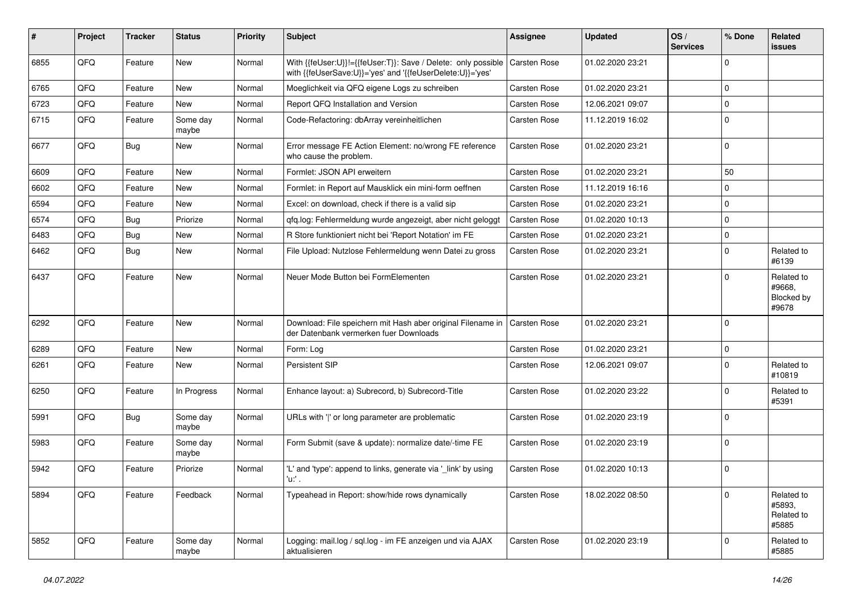| #    | Project | <b>Tracker</b> | <b>Status</b>     | <b>Priority</b> | <b>Subject</b>                                                                                                             | <b>Assignee</b>     | <b>Updated</b>   | OS/<br><b>Services</b> | % Done      | Related<br><b>issues</b>                    |
|------|---------|----------------|-------------------|-----------------|----------------------------------------------------------------------------------------------------------------------------|---------------------|------------------|------------------------|-------------|---------------------------------------------|
| 6855 | QFQ     | Feature        | New               | Normal          | With {{feUser:U}}!={{feUser:T}}: Save / Delete: only possible<br>with {{feUserSave:U}}='yes' and '{{feUserDelete:U}}='yes' | <b>Carsten Rose</b> | 01.02.2020 23:21 |                        | $\Omega$    |                                             |
| 6765 | QFQ     | Feature        | New               | Normal          | Moeglichkeit via QFQ eigene Logs zu schreiben                                                                              | Carsten Rose        | 01.02.2020 23:21 |                        | $\mathbf 0$ |                                             |
| 6723 | QFQ     | Feature        | New               | Normal          | Report QFQ Installation and Version                                                                                        | Carsten Rose        | 12.06.2021 09:07 |                        | $\mathbf 0$ |                                             |
| 6715 | QFQ     | Feature        | Some day<br>maybe | Normal          | Code-Refactoring: dbArray vereinheitlichen                                                                                 | Carsten Rose        | 11.12.2019 16:02 |                        | $\mathbf 0$ |                                             |
| 6677 | QFQ     | Bug            | New               | Normal          | Error message FE Action Element: no/wrong FE reference<br>who cause the problem.                                           | Carsten Rose        | 01.02.2020 23:21 |                        | $\mathbf 0$ |                                             |
| 6609 | QFQ     | Feature        | New               | Normal          | Formlet: JSON API erweitern                                                                                                | Carsten Rose        | 01.02.2020 23:21 |                        | 50          |                                             |
| 6602 | QFQ     | Feature        | New               | Normal          | Formlet: in Report auf Mausklick ein mini-form oeffnen                                                                     | Carsten Rose        | 11.12.2019 16:16 |                        | $\mathbf 0$ |                                             |
| 6594 | QFQ     | Feature        | New               | Normal          | Excel: on download, check if there is a valid sip                                                                          | Carsten Rose        | 01.02.2020 23:21 |                        | $\Omega$    |                                             |
| 6574 | QFQ     | Bug            | Priorize          | Normal          | qfq.log: Fehlermeldung wurde angezeigt, aber nicht geloggt                                                                 | Carsten Rose        | 01.02.2020 10:13 |                        | $\mathbf 0$ |                                             |
| 6483 | QFQ     | Bug            | New               | Normal          | R Store funktioniert nicht bei 'Report Notation' im FE                                                                     | Carsten Rose        | 01.02.2020 23:21 |                        | $\Omega$    |                                             |
| 6462 | QFQ     | <b>Bug</b>     | New               | Normal          | File Upload: Nutzlose Fehlermeldung wenn Datei zu gross                                                                    | Carsten Rose        | 01.02.2020 23:21 |                        | $\mathbf 0$ | Related to<br>#6139                         |
| 6437 | QFQ     | Feature        | New               | Normal          | Neuer Mode Button bei FormElementen                                                                                        | Carsten Rose        | 01.02.2020 23:21 |                        | $\Omega$    | Related to<br>#9668,<br>Blocked by<br>#9678 |
| 6292 | QFQ     | Feature        | <b>New</b>        | Normal          | Download: File speichern mit Hash aber original Filename in   Carsten Rose<br>der Datenbank vermerken fuer Downloads       |                     | 01.02.2020 23:21 |                        | $\Omega$    |                                             |
| 6289 | QFQ     | Feature        | New               | Normal          | Form: Log                                                                                                                  | Carsten Rose        | 01.02.2020 23:21 |                        | $\Omega$    |                                             |
| 6261 | QFQ     | Feature        | New               | Normal          | Persistent SIP                                                                                                             | Carsten Rose        | 12.06.2021 09:07 |                        | $\mathbf 0$ | Related to<br>#10819                        |
| 6250 | QFQ     | Feature        | In Progress       | Normal          | Enhance layout: a) Subrecord, b) Subrecord-Title                                                                           | Carsten Rose        | 01.02.2020 23:22 |                        | $\mathbf 0$ | Related to<br>#5391                         |
| 5991 | QFQ     | <b>Bug</b>     | Some day<br>maybe | Normal          | URLs with 'I' or long parameter are problematic                                                                            | Carsten Rose        | 01.02.2020 23:19 |                        | $\Omega$    |                                             |
| 5983 | QFQ     | Feature        | Some day<br>maybe | Normal          | Form Submit (save & update): normalize date/-time FE                                                                       | Carsten Rose        | 01.02.2020 23:19 |                        | $\Omega$    |                                             |
| 5942 | QFQ     | Feature        | Priorize          | Normal          | 'L' and 'type': append to links, generate via '_link' by using<br>'u:' .                                                   | Carsten Rose        | 01.02.2020 10:13 |                        | $\mathbf 0$ |                                             |
| 5894 | QFQ     | Feature        | Feedback          | Normal          | Typeahead in Report: show/hide rows dynamically                                                                            | Carsten Rose        | 18.02.2022 08:50 |                        | $\mathbf 0$ | Related to<br>#5893.<br>Related to<br>#5885 |
| 5852 | QFQ     | Feature        | Some day<br>maybe | Normal          | Logging: mail.log / sql.log - im FE anzeigen und via AJAX<br>aktualisieren                                                 | Carsten Rose        | 01.02.2020 23:19 |                        | 0           | Related to<br>#5885                         |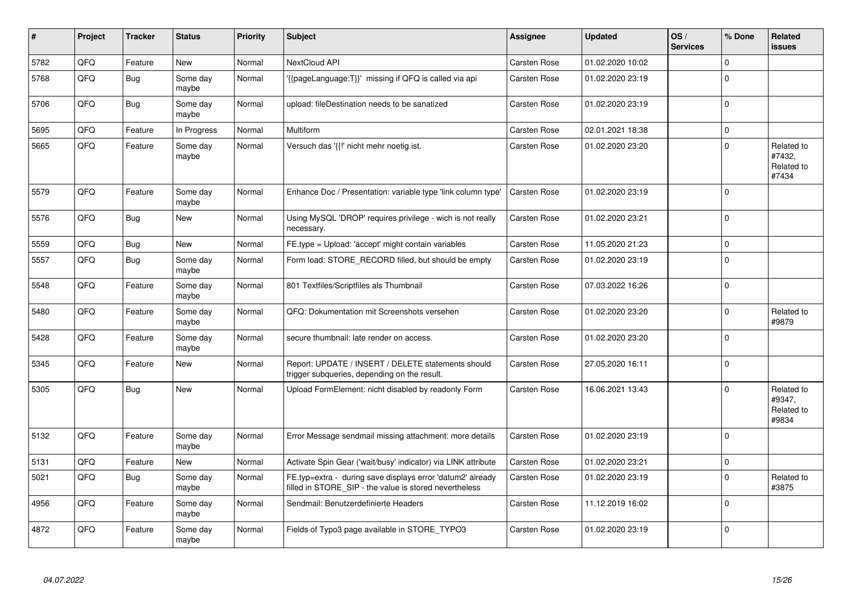| #    | Project | <b>Tracker</b> | <b>Status</b>     | <b>Priority</b> | <b>Subject</b>                                                                                                       | <b>Assignee</b>     | <b>Updated</b>   | OS/<br><b>Services</b> | % Done      | Related<br><b>issues</b>                    |
|------|---------|----------------|-------------------|-----------------|----------------------------------------------------------------------------------------------------------------------|---------------------|------------------|------------------------|-------------|---------------------------------------------|
| 5782 | QFQ     | Feature        | <b>New</b>        | Normal          | NextCloud API                                                                                                        | Carsten Rose        | 01.02.2020 10:02 |                        | $\Omega$    |                                             |
| 5768 | QFQ     | <b>Bug</b>     | Some day<br>maybe | Normal          | '{{pageLanguage:T}}' missing if QFQ is called via api                                                                | Carsten Rose        | 01.02.2020 23:19 |                        | $\Omega$    |                                             |
| 5706 | QFQ     | Bug            | Some day<br>maybe | Normal          | upload: fileDestination needs to be sanatized                                                                        | Carsten Rose        | 01.02.2020 23:19 |                        | $\Omega$    |                                             |
| 5695 | QFQ     | Feature        | In Progress       | Normal          | Multiform                                                                                                            | Carsten Rose        | 02.01.2021 18:38 |                        | $\pmb{0}$   |                                             |
| 5665 | QFQ     | Feature        | Some day<br>maybe | Normal          | Versuch das '{{!' nicht mehr noetig ist.                                                                             | Carsten Rose        | 01.02.2020 23:20 |                        | $\Omega$    | Related to<br>#7432,<br>Related to<br>#7434 |
| 5579 | QFQ     | Feature        | Some day<br>maybe | Normal          | Enhance Doc / Presentation: variable type 'link column type'                                                         | Carsten Rose        | 01.02.2020 23:19 |                        | $\Omega$    |                                             |
| 5576 | QFQ     | Bug            | New               | Normal          | Using MySQL 'DROP' requires privilege - wich is not really<br>necessary.                                             | Carsten Rose        | 01.02.2020 23:21 |                        | $\Omega$    |                                             |
| 5559 | QFQ     | <b>Bug</b>     | <b>New</b>        | Normal          | FE.type = Upload: 'accept' might contain variables                                                                   | Carsten Rose        | 11.05.2020 21:23 |                        | $\Omega$    |                                             |
| 5557 | QFQ     | Bug            | Some day<br>maybe | Normal          | Form load: STORE RECORD filled, but should be empty                                                                  | Carsten Rose        | 01.02.2020 23:19 |                        | $\Omega$    |                                             |
| 5548 | QFQ     | Feature        | Some day<br>maybe | Normal          | 801 Textfiles/Scriptfiles als Thumbnail                                                                              | Carsten Rose        | 07.03.2022 16:26 |                        | $\Omega$    |                                             |
| 5480 | QFQ     | Feature        | Some day<br>maybe | Normal          | QFQ: Dokumentation mit Screenshots versehen                                                                          | Carsten Rose        | 01.02.2020 23:20 |                        | $\Omega$    | Related to<br>#9879                         |
| 5428 | QFQ     | Feature        | Some day<br>maybe | Normal          | secure thumbnail: late render on access.                                                                             | Carsten Rose        | 01.02.2020 23:20 |                        | $\mathbf 0$ |                                             |
| 5345 | QFQ     | Feature        | <b>New</b>        | Normal          | Report: UPDATE / INSERT / DELETE statements should<br>trigger subqueries, depending on the result.                   | <b>Carsten Rose</b> | 27.05.2020 16:11 |                        | $\Omega$    |                                             |
| 5305 | QFQ     | Bug            | <b>New</b>        | Normal          | Upload FormElement: nicht disabled by readonly Form                                                                  | Carsten Rose        | 16.06.2021 13:43 |                        | 0           | Related to<br>#9347.<br>Related to<br>#9834 |
| 5132 | QFQ     | Feature        | Some day<br>maybe | Normal          | Error Message sendmail missing attachment: more details                                                              | <b>Carsten Rose</b> | 01.02.2020 23:19 |                        | $\Omega$    |                                             |
| 5131 | QFQ     | Feature        | New               | Normal          | Activate Spin Gear ('wait/busy' indicator) via LINK attribute                                                        | <b>Carsten Rose</b> | 01.02.2020 23:21 |                        | 0           |                                             |
| 5021 | QFQ     | <b>Bug</b>     | Some day<br>maybe | Normal          | FE.typ=extra - during save displays error 'datum2' already<br>filled in STORE_SIP - the value is stored nevertheless | Carsten Rose        | 01.02.2020 23:19 |                        | $\Omega$    | Related to<br>#3875                         |
| 4956 | QFQ     | Feature        | Some day<br>maybe | Normal          | Sendmail: Benutzerdefinierte Headers                                                                                 | Carsten Rose        | 11.12.2019 16:02 |                        | $\Omega$    |                                             |
| 4872 | QFQ     | Feature        | Some day<br>maybe | Normal          | Fields of Typo3 page available in STORE_TYPO3                                                                        | Carsten Rose        | 01.02.2020 23:19 |                        | $\Omega$    |                                             |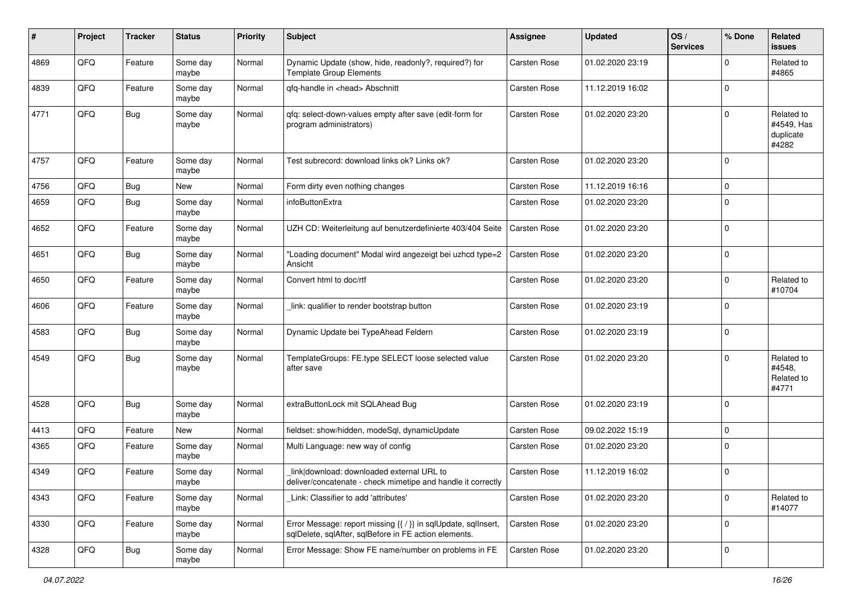| #    | Project | <b>Tracker</b> | <b>Status</b>     | <b>Priority</b> | <b>Subject</b>                                                                                                          | <b>Assignee</b>     | <b>Updated</b>   | OS/<br><b>Services</b> | % Done      | Related<br><b>issues</b>                       |
|------|---------|----------------|-------------------|-----------------|-------------------------------------------------------------------------------------------------------------------------|---------------------|------------------|------------------------|-------------|------------------------------------------------|
| 4869 | QFQ     | Feature        | Some day<br>maybe | Normal          | Dynamic Update (show, hide, readonly?, required?) for<br><b>Template Group Elements</b>                                 | Carsten Rose        | 01.02.2020 23:19 |                        | $\Omega$    | Related to<br>#4865                            |
| 4839 | QFQ     | Feature        | Some day<br>maybe | Normal          | qfq-handle in <head> Abschnitt</head>                                                                                   | <b>Carsten Rose</b> | 11.12.2019 16:02 |                        | $\Omega$    |                                                |
| 4771 | QFQ     | <b>Bug</b>     | Some day<br>maybe | Normal          | qfq: select-down-values empty after save (edit-form for<br>program administrators)                                      | Carsten Rose        | 01.02.2020 23:20 |                        | $\Omega$    | Related to<br>#4549, Has<br>duplicate<br>#4282 |
| 4757 | QFQ     | Feature        | Some day<br>maybe | Normal          | Test subrecord: download links ok? Links ok?                                                                            | Carsten Rose        | 01.02.2020 23:20 |                        | $\mathbf 0$ |                                                |
| 4756 | QFQ     | <b>Bug</b>     | New               | Normal          | Form dirty even nothing changes                                                                                         | <b>Carsten Rose</b> | 11.12.2019 16:16 |                        | $\Omega$    |                                                |
| 4659 | QFQ     | <b>Bug</b>     | Some day<br>maybe | Normal          | infoButtonExtra                                                                                                         | Carsten Rose        | 01.02.2020 23:20 |                        | $\Omega$    |                                                |
| 4652 | QFQ     | Feature        | Some day<br>maybe | Normal          | UZH CD: Weiterleitung auf benutzerdefinierte 403/404 Seite                                                              | Carsten Rose        | 01.02.2020 23:20 |                        | $\mathbf 0$ |                                                |
| 4651 | QFQ     | <b>Bug</b>     | Some day<br>maybe | Normal          | "Loading document" Modal wird angezeigt bei uzhcd type=2<br>Ansicht                                                     | Carsten Rose        | 01.02.2020 23:20 |                        | $\Omega$    |                                                |
| 4650 | QFQ     | Feature        | Some day<br>maybe | Normal          | Convert html to doc/rtf                                                                                                 | Carsten Rose        | 01.02.2020 23:20 |                        | $\mathbf 0$ | Related to<br>#10704                           |
| 4606 | QFQ     | Feature        | Some day<br>maybe | Normal          | link: qualifier to render bootstrap button                                                                              | Carsten Rose        | 01.02.2020 23:19 |                        | $\Omega$    |                                                |
| 4583 | QFQ     | Bug            | Some day<br>maybe | Normal          | Dynamic Update bei TypeAhead Feldern                                                                                    | <b>Carsten Rose</b> | 01.02.2020 23:19 |                        | $\Omega$    |                                                |
| 4549 | QFQ     | <b>Bug</b>     | Some day<br>maybe | Normal          | TemplateGroups: FE.type SELECT loose selected value<br>after save                                                       | <b>Carsten Rose</b> | 01.02.2020 23:20 |                        | $\Omega$    | Related to<br>#4548,<br>Related to<br>#4771    |
| 4528 | QFQ     | <b>Bug</b>     | Some day<br>maybe | Normal          | extraButtonLock mit SQLAhead Bug                                                                                        | Carsten Rose        | 01.02.2020 23:19 |                        | $\mathbf 0$ |                                                |
| 4413 | QFQ     | Feature        | New               | Normal          | fieldset: show/hidden, modeSql, dynamicUpdate                                                                           | Carsten Rose        | 09.02.2022 15:19 |                        | $\mathbf 0$ |                                                |
| 4365 | QFQ     | Feature        | Some day<br>maybe | Normal          | Multi Language: new way of config                                                                                       | <b>Carsten Rose</b> | 01.02.2020 23:20 |                        | $\Omega$    |                                                |
| 4349 | QFQ     | Feature        | Some day<br>maybe | Normal          | link download: downloaded external URL to<br>deliver/concatenate - check mimetipe and handle it correctly               | <b>Carsten Rose</b> | 11.12.2019 16:02 |                        | $\mathbf 0$ |                                                |
| 4343 | QFQ     | Feature        | Some day<br>maybe | Normal          | Link: Classifier to add 'attributes'                                                                                    | Carsten Rose        | 01.02.2020 23:20 |                        | $\mathbf 0$ | Related to<br>#14077                           |
| 4330 | QFO     | Feature        | Some day<br>maybe | Normal          | Error Message: report missing {{ / }} in sqlUpdate, sqlInsert,<br>sqlDelete, sqlAfter, sqlBefore in FE action elements. | Carsten Rose        | 01.02.2020 23:20 |                        | $\mathbf 0$ |                                                |
| 4328 | QFO     | <b>Bug</b>     | Some day<br>maybe | Normal          | Error Message: Show FE name/number on problems in FE                                                                    | Carsten Rose        | 01.02.2020 23:20 |                        | $\mathbf 0$ |                                                |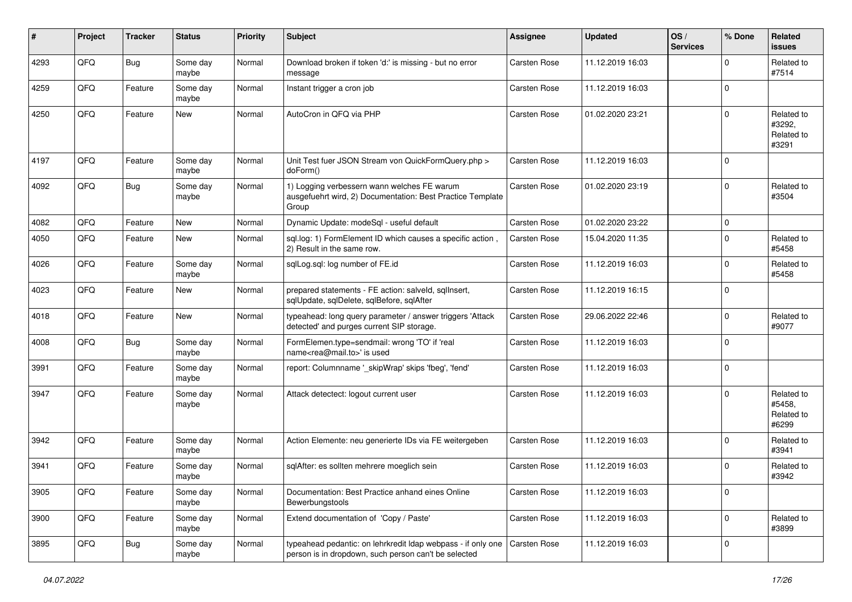| #    | Project | <b>Tracker</b> | <b>Status</b>     | <b>Priority</b> | <b>Subject</b>                                                                                                       | <b>Assignee</b>     | <b>Updated</b>   | OS/<br><b>Services</b> | % Done      | <b>Related</b><br><b>issues</b>             |
|------|---------|----------------|-------------------|-----------------|----------------------------------------------------------------------------------------------------------------------|---------------------|------------------|------------------------|-------------|---------------------------------------------|
| 4293 | QFQ     | <b>Bug</b>     | Some day<br>maybe | Normal          | Download broken if token 'd:' is missing - but no error<br>message                                                   | <b>Carsten Rose</b> | 11.12.2019 16:03 |                        | $\Omega$    | Related to<br>#7514                         |
| 4259 | QFQ     | Feature        | Some day<br>maybe | Normal          | Instant trigger a cron job                                                                                           | <b>Carsten Rose</b> | 11.12.2019 16:03 |                        | $\Omega$    |                                             |
| 4250 | QFQ     | Feature        | New               | Normal          | AutoCron in QFQ via PHP                                                                                              | Carsten Rose        | 01.02.2020 23:21 |                        | $\Omega$    | Related to<br>#3292.<br>Related to<br>#3291 |
| 4197 | QFQ     | Feature        | Some day<br>maybe | Normal          | Unit Test fuer JSON Stream von QuickFormQuery.php ><br>doForm()                                                      | <b>Carsten Rose</b> | 11.12.2019 16:03 |                        | $\Omega$    |                                             |
| 4092 | QFQ     | <b>Bug</b>     | Some day<br>maybe | Normal          | 1) Logging verbessern wann welches FE warum<br>ausgefuehrt wird, 2) Documentation: Best Practice Template<br>Group   | Carsten Rose        | 01.02.2020 23:19 |                        | $\Omega$    | Related to<br>#3504                         |
| 4082 | QFQ     | Feature        | <b>New</b>        | Normal          | Dynamic Update: modeSql - useful default                                                                             | Carsten Rose        | 01.02.2020 23:22 |                        | $\mathbf 0$ |                                             |
| 4050 | QFQ     | Feature        | New               | Normal          | sql.log: 1) FormElement ID which causes a specific action<br>2) Result in the same row.                              | <b>Carsten Rose</b> | 15.04.2020 11:35 |                        | $\Omega$    | Related to<br>#5458                         |
| 4026 | QFQ     | Feature        | Some day<br>maybe | Normal          | sqlLog.sql: log number of FE.id                                                                                      | Carsten Rose        | 11.12.2019 16:03 |                        | $\Omega$    | Related to<br>#5458                         |
| 4023 | QFQ     | Feature        | New               | Normal          | prepared statements - FE action: salveld, sqllnsert,<br>sglUpdate, sglDelete, sglBefore, sglAfter                    | Carsten Rose        | 11.12.2019 16:15 |                        | $\Omega$    |                                             |
| 4018 | QFQ     | Feature        | New               | Normal          | typeahead: long query parameter / answer triggers 'Attack<br>detected' and purges current SIP storage.               | Carsten Rose        | 29.06.2022 22:46 |                        | $\Omega$    | Related to<br>#9077                         |
| 4008 | QFQ     | Bug            | Some day<br>maybe | Normal          | FormElemen.type=sendmail: wrong 'TO' if 'real<br>name <rea@mail.to>' is used</rea@mail.to>                           | Carsten Rose        | 11.12.2019 16:03 |                        | $\Omega$    |                                             |
| 3991 | QFQ     | Feature        | Some day<br>maybe | Normal          | report: Columnname ' skipWrap' skips 'fbeg', 'fend'                                                                  | Carsten Rose        | 11.12.2019 16:03 |                        | $\Omega$    |                                             |
| 3947 | QFQ     | Feature        | Some day<br>maybe | Normal          | Attack detectect: logout current user                                                                                | <b>Carsten Rose</b> | 11.12.2019 16:03 |                        | $\Omega$    | Related to<br>#5458,<br>Related to<br>#6299 |
| 3942 | QFQ     | Feature        | Some day<br>maybe | Normal          | Action Elemente: neu generierte IDs via FE weitergeben                                                               | <b>Carsten Rose</b> | 11.12.2019 16:03 |                        | $\Omega$    | Related to<br>#3941                         |
| 3941 | QFQ     | Feature        | Some day<br>maybe | Normal          | sqlAfter: es sollten mehrere moeglich sein                                                                           | <b>Carsten Rose</b> | 11.12.2019 16:03 |                        | $\Omega$    | Related to<br>#3942                         |
| 3905 | QFQ     | Feature        | Some day<br>maybe | Normal          | Documentation: Best Practice anhand eines Online<br>Bewerbungstools                                                  | Carsten Rose        | 11.12.2019 16:03 |                        | 0           |                                             |
| 3900 | QFQ     | Feature        | Some day<br>maybe | Normal          | Extend documentation of 'Copy / Paste'                                                                               | Carsten Rose        | 11.12.2019 16:03 |                        | 0           | Related to<br>#3899                         |
| 3895 | QFQ     | <b>Bug</b>     | Some day<br>maybe | Normal          | typeahead pedantic: on lehrkredit Idap webpass - if only one<br>person is in dropdown, such person can't be selected | Carsten Rose        | 11.12.2019 16:03 |                        | 0           |                                             |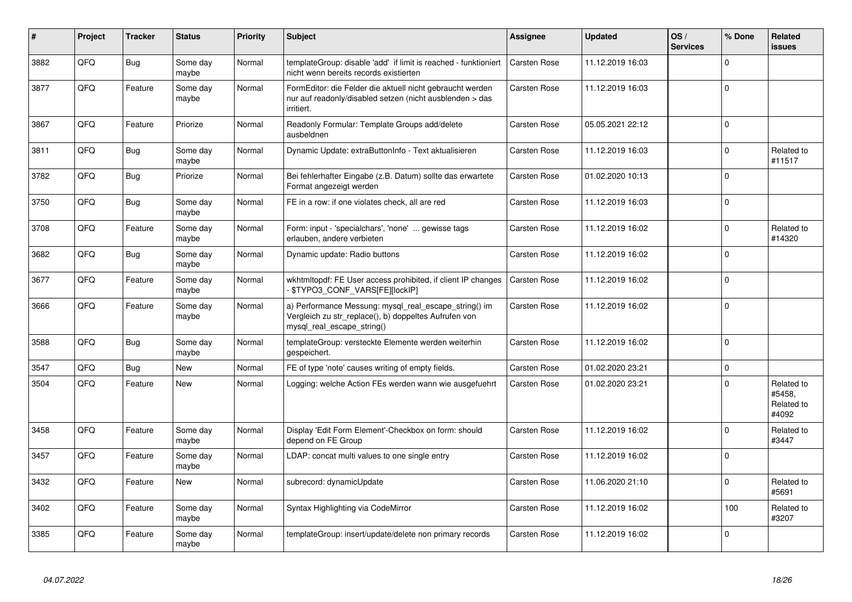| #    | Project | <b>Tracker</b> | <b>Status</b>     | <b>Priority</b> | <b>Subject</b>                                                                                                                               | <b>Assignee</b>     | <b>Updated</b>   | OS/<br><b>Services</b> | % Done      | Related<br><b>issues</b>                    |
|------|---------|----------------|-------------------|-----------------|----------------------------------------------------------------------------------------------------------------------------------------------|---------------------|------------------|------------------------|-------------|---------------------------------------------|
| 3882 | QFQ     | Bug            | Some day<br>maybe | Normal          | templateGroup: disable 'add' if limit is reached - funktioniert<br>nicht wenn bereits records existierten                                    | <b>Carsten Rose</b> | 11.12.2019 16:03 |                        | $\Omega$    |                                             |
| 3877 | QFQ     | Feature        | Some day<br>maybe | Normal          | FormEditor: die Felder die aktuell nicht gebraucht werden<br>nur auf readonly/disabled setzen (nicht ausblenden > das<br>irritiert.          | Carsten Rose        | 11.12.2019 16:03 |                        | $\Omega$    |                                             |
| 3867 | QFQ     | Feature        | Priorize          | Normal          | Readonly Formular: Template Groups add/delete<br>ausbeldnen                                                                                  | Carsten Rose        | 05.05.2021 22:12 |                        | $\Omega$    |                                             |
| 3811 | QFQ     | Bug            | Some day<br>maybe | Normal          | Dynamic Update: extraButtonInfo - Text aktualisieren                                                                                         | Carsten Rose        | 11.12.2019 16:03 |                        | $\mathbf 0$ | Related to<br>#11517                        |
| 3782 | QFQ     | Bug            | Priorize          | Normal          | Bei fehlerhafter Eingabe (z.B. Datum) sollte das erwartete<br>Format angezeigt werden                                                        | Carsten Rose        | 01.02.2020 10:13 |                        | $\Omega$    |                                             |
| 3750 | QFQ     | Bug            | Some day<br>maybe | Normal          | FE in a row: if one violates check, all are red                                                                                              | Carsten Rose        | 11.12.2019 16:03 |                        | $\Omega$    |                                             |
| 3708 | QFQ     | Feature        | Some day<br>maybe | Normal          | Form: input - 'specialchars', 'none'  gewisse tags<br>erlauben, andere verbieten                                                             | Carsten Rose        | 11.12.2019 16:02 |                        | $\Omega$    | Related to<br>#14320                        |
| 3682 | QFQ     | Bug            | Some day<br>maybe | Normal          | Dynamic update: Radio buttons                                                                                                                | Carsten Rose        | 11.12.2019 16:02 |                        | $\Omega$    |                                             |
| 3677 | QFQ     | Feature        | Some day<br>maybe | Normal          | wkhtmltopdf: FE User access prohibited, if client IP changes<br>\$TYPO3 CONF VARS[FE][lockIP]                                                | Carsten Rose        | 11.12.2019 16:02 |                        | $\Omega$    |                                             |
| 3666 | QFQ     | Feature        | Some day<br>maybe | Normal          | a) Performance Messung: mysql_real_escape_string() im<br>Vergleich zu str replace(), b) doppeltes Aufrufen von<br>mysql_real_escape_string() | Carsten Rose        | 11.12.2019 16:02 |                        | $\Omega$    |                                             |
| 3588 | QFQ     | Bug            | Some day<br>maybe | Normal          | templateGroup: versteckte Elemente werden weiterhin<br>gespeichert.                                                                          | Carsten Rose        | 11.12.2019 16:02 |                        | $\Omega$    |                                             |
| 3547 | QFQ     | Bug            | <b>New</b>        | Normal          | FE of type 'note' causes writing of empty fields.                                                                                            | Carsten Rose        | 01.02.2020 23:21 |                        | $\mathbf 0$ |                                             |
| 3504 | QFQ     | Feature        | <b>New</b>        | Normal          | Logging: welche Action FEs werden wann wie ausgefuehrt                                                                                       | Carsten Rose        | 01.02.2020 23:21 |                        | $\Omega$    | Related to<br>#5458.<br>Related to<br>#4092 |
| 3458 | QFQ     | Feature        | Some day<br>maybe | Normal          | Display 'Edit Form Element'-Checkbox on form: should<br>depend on FE Group                                                                   | Carsten Rose        | 11.12.2019 16:02 |                        | $\Omega$    | Related to<br>#3447                         |
| 3457 | QFQ     | Feature        | Some day<br>maybe | Normal          | LDAP: concat multi values to one single entry                                                                                                | Carsten Rose        | 11.12.2019 16:02 |                        | $\Omega$    |                                             |
| 3432 | QFQ     | Feature        | <b>New</b>        | Normal          | subrecord: dynamicUpdate                                                                                                                     | Carsten Rose        | 11.06.2020 21:10 |                        | $\Omega$    | Related to<br>#5691                         |
| 3402 | QFQ     | Feature        | Some day<br>maybe | Normal          | Syntax Highlighting via CodeMirror                                                                                                           | Carsten Rose        | 11.12.2019 16:02 |                        | 100         | Related to<br>#3207                         |
| 3385 | QFQ     | Feature        | Some day<br>maybe | Normal          | templateGroup: insert/update/delete non primary records                                                                                      | Carsten Rose        | 11.12.2019 16:02 |                        | $\Omega$    |                                             |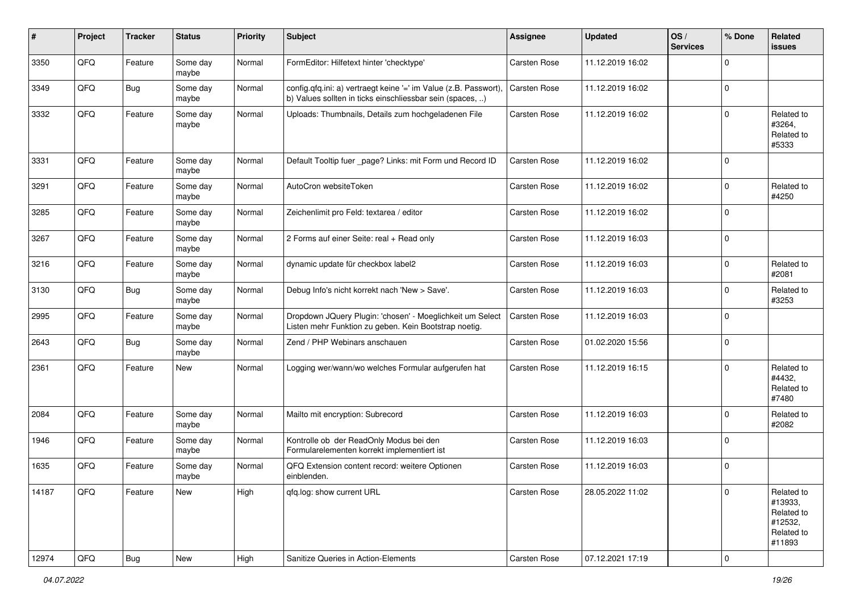| $\vert$ # | Project | <b>Tracker</b> | <b>Status</b>     | <b>Priority</b> | <b>Subject</b>                                                                                                                | <b>Assignee</b>     | <b>Updated</b>   | OS/<br><b>Services</b> | % Done      | <b>Related</b><br>issues                                               |
|-----------|---------|----------------|-------------------|-----------------|-------------------------------------------------------------------------------------------------------------------------------|---------------------|------------------|------------------------|-------------|------------------------------------------------------------------------|
| 3350      | QFQ     | Feature        | Some day<br>maybe | Normal          | FormEditor: Hilfetext hinter 'checktype'                                                                                      | <b>Carsten Rose</b> | 11.12.2019 16:02 |                        | $\Omega$    |                                                                        |
| 3349      | QFQ     | Bug            | Some day<br>maybe | Normal          | config.qfq.ini: a) vertraegt keine '=' im Value (z.B. Passwort),<br>b) Values sollten in ticks einschliessbar sein (spaces, ) | <b>Carsten Rose</b> | 11.12.2019 16:02 |                        | $\mathbf 0$ |                                                                        |
| 3332      | QFQ     | Feature        | Some day<br>maybe | Normal          | Uploads: Thumbnails, Details zum hochgeladenen File                                                                           | Carsten Rose        | 11.12.2019 16:02 |                        | $\Omega$    | Related to<br>#3264,<br>Related to<br>#5333                            |
| 3331      | QFQ     | Feature        | Some day<br>maybe | Normal          | Default Tooltip fuer _page? Links: mit Form und Record ID                                                                     | Carsten Rose        | 11.12.2019 16:02 |                        | $\Omega$    |                                                                        |
| 3291      | QFQ     | Feature        | Some day<br>maybe | Normal          | AutoCron websiteToken                                                                                                         | Carsten Rose        | 11.12.2019 16:02 |                        | $\mathbf 0$ | Related to<br>#4250                                                    |
| 3285      | QFQ     | Feature        | Some day<br>maybe | Normal          | Zeichenlimit pro Feld: textarea / editor                                                                                      | Carsten Rose        | 11.12.2019 16:02 |                        | $\mathbf 0$ |                                                                        |
| 3267      | QFQ     | Feature        | Some day<br>maybe | Normal          | 2 Forms auf einer Seite: real + Read only                                                                                     | Carsten Rose        | 11.12.2019 16:03 |                        | $\Omega$    |                                                                        |
| 3216      | QFQ     | Feature        | Some day<br>maybe | Normal          | dynamic update für checkbox label2                                                                                            | Carsten Rose        | 11.12.2019 16:03 |                        | $\mathbf 0$ | Related to<br>#2081                                                    |
| 3130      | QFQ     | <b>Bug</b>     | Some day<br>maybe | Normal          | Debug Info's nicht korrekt nach 'New > Save'.                                                                                 | Carsten Rose        | 11.12.2019 16:03 |                        | $\mathbf 0$ | Related to<br>#3253                                                    |
| 2995      | QFQ     | Feature        | Some day<br>maybe | Normal          | Dropdown JQuery Plugin: 'chosen' - Moeglichkeit um Select<br>Listen mehr Funktion zu geben. Kein Bootstrap noetig.            | Carsten Rose        | 11.12.2019 16:03 |                        | $\mathbf 0$ |                                                                        |
| 2643      | QFQ     | Bug            | Some day<br>maybe | Normal          | Zend / PHP Webinars anschauen                                                                                                 | Carsten Rose        | 01.02.2020 15:56 |                        | $\mathbf 0$ |                                                                        |
| 2361      | QFQ     | Feature        | New               | Normal          | Logging wer/wann/wo welches Formular aufgerufen hat                                                                           | <b>Carsten Rose</b> | 11.12.2019 16:15 |                        | $\Omega$    | Related to<br>#4432,<br>Related to<br>#7480                            |
| 2084      | QFQ     | Feature        | Some day<br>maybe | Normal          | Mailto mit encryption: Subrecord                                                                                              | <b>Carsten Rose</b> | 11.12.2019 16:03 |                        | $\Omega$    | Related to<br>#2082                                                    |
| 1946      | QFQ     | Feature        | Some day<br>maybe | Normal          | Kontrolle ob der ReadOnly Modus bei den<br>Formularelementen korrekt implementiert ist                                        | Carsten Rose        | 11.12.2019 16:03 |                        | $\mathbf 0$ |                                                                        |
| 1635      | QFQ     | Feature        | Some day<br>maybe | Normal          | QFQ Extension content record: weitere Optionen<br>einblenden.                                                                 | Carsten Rose        | 11.12.2019 16:03 |                        | $\Omega$    |                                                                        |
| 14187     | QFQ     | Feature        | New               | High            | qfq.log: show current URL                                                                                                     | <b>Carsten Rose</b> | 28.05.2022 11:02 |                        | 0           | Related to<br>#13933,<br>Related to<br>#12532,<br>Related to<br>#11893 |
| 12974     | QFQ     | i Bug          | New               | High            | Sanitize Queries in Action-Elements                                                                                           | Carsten Rose        | 07.12.2021 17:19 |                        | $\pmb{0}$   |                                                                        |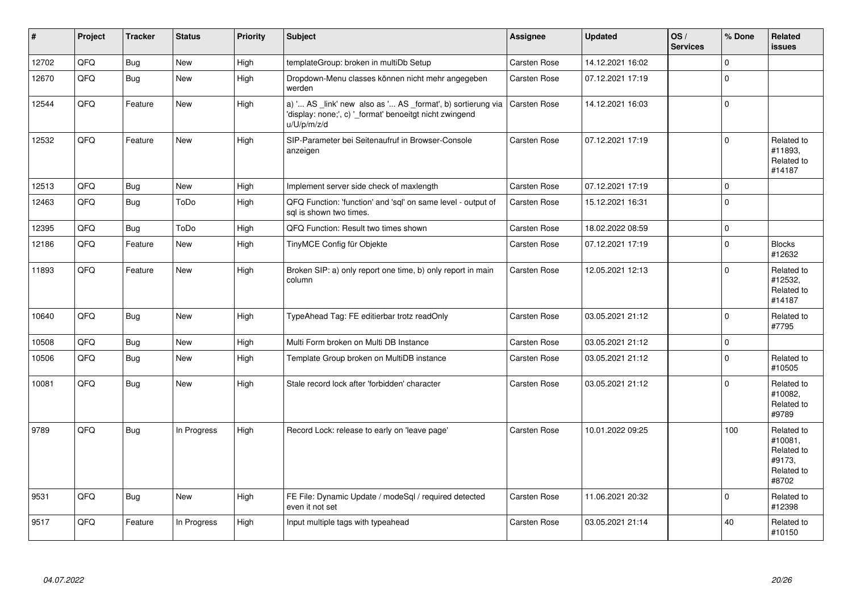| $\vert$ # | Project | <b>Tracker</b> | <b>Status</b> | <b>Priority</b> | Subject                                                                                                                               | Assignee            | <b>Updated</b>   | OS/<br><b>Services</b> | % Done      | Related<br><b>issues</b>                                             |
|-----------|---------|----------------|---------------|-----------------|---------------------------------------------------------------------------------------------------------------------------------------|---------------------|------------------|------------------------|-------------|----------------------------------------------------------------------|
| 12702     | QFQ     | <b>Bug</b>     | New           | High            | templateGroup: broken in multiDb Setup                                                                                                | Carsten Rose        | 14.12.2021 16:02 |                        | $\Omega$    |                                                                      |
| 12670     | QFQ     | Bug            | <b>New</b>    | High            | Dropdown-Menu classes können nicht mehr angegeben<br>werden                                                                           | Carsten Rose        | 07.12.2021 17:19 |                        | $\mathbf 0$ |                                                                      |
| 12544     | QFQ     | Feature        | <b>New</b>    | High            | a) ' AS _link' new also as ' AS _format', b) sortierung via<br>'display: none;', c) '_format' benoeitgt nicht zwingend<br>u/U/p/m/z/d | <b>Carsten Rose</b> | 14.12.2021 16:03 |                        | $\Omega$    |                                                                      |
| 12532     | QFQ     | Feature        | <b>New</b>    | High            | SIP-Parameter bei Seitenaufruf in Browser-Console<br>anzeigen                                                                         | Carsten Rose        | 07.12.2021 17:19 |                        | $\Omega$    | Related to<br>#11893,<br>Related to<br>#14187                        |
| 12513     | QFQ     | <b>Bug</b>     | <b>New</b>    | High            | Implement server side check of maxlength                                                                                              | Carsten Rose        | 07.12.2021 17:19 |                        | $\mathbf 0$ |                                                                      |
| 12463     | QFQ     | Bug            | ToDo          | High            | QFQ Function: 'function' and 'sql' on same level - output of<br>sql is shown two times.                                               | Carsten Rose        | 15.12.2021 16:31 |                        | $\Omega$    |                                                                      |
| 12395     | QFQ     | <b>Bug</b>     | ToDo          | High            | QFQ Function: Result two times shown                                                                                                  | Carsten Rose        | 18.02.2022 08:59 |                        | $\Omega$    |                                                                      |
| 12186     | QFQ     | Feature        | New           | High            | TinyMCE Config für Objekte                                                                                                            | Carsten Rose        | 07.12.2021 17:19 |                        | $\mathbf 0$ | <b>Blocks</b><br>#12632                                              |
| 11893     | QFQ     | Feature        | New           | High            | Broken SIP: a) only report one time, b) only report in main<br>column                                                                 | Carsten Rose        | 12.05.2021 12:13 |                        | $\Omega$    | Related to<br>#12532,<br>Related to<br>#14187                        |
| 10640     | QFQ     | Bug            | New           | High            | TypeAhead Tag: FE editierbar trotz readOnly                                                                                           | Carsten Rose        | 03.05.2021 21:12 |                        | $\Omega$    | Related to<br>#7795                                                  |
| 10508     | QFQ     | Bug            | New           | High            | Multi Form broken on Multi DB Instance                                                                                                | Carsten Rose        | 03.05.2021 21:12 |                        | $\mathbf 0$ |                                                                      |
| 10506     | QFQ     | Bug            | New           | High            | Template Group broken on MultiDB instance                                                                                             | Carsten Rose        | 03.05.2021 21:12 |                        | $\Omega$    | Related to<br>#10505                                                 |
| 10081     | QFQ     | Bug            | <b>New</b>    | High            | Stale record lock after 'forbidden' character                                                                                         | Carsten Rose        | 03.05.2021 21:12 |                        | $\mathbf 0$ | Related to<br>#10082,<br>Related to<br>#9789                         |
| 9789      | QFQ     | <b>Bug</b>     | In Progress   | High            | Record Lock: release to early on 'leave page'                                                                                         | <b>Carsten Rose</b> | 10.01.2022 09:25 |                        | 100         | Related to<br>#10081,<br>Related to<br>#9173,<br>Related to<br>#8702 |
| 9531      | QFQ     | Bug            | New           | High            | FE File: Dynamic Update / modeSql / required detected<br>even it not set                                                              | Carsten Rose        | 11.06.2021 20:32 |                        | $\Omega$    | Related to<br>#12398                                                 |
| 9517      | QFQ     | Feature        | In Progress   | High            | Input multiple tags with typeahead                                                                                                    | Carsten Rose        | 03.05.2021 21:14 |                        | 40          | Related to<br>#10150                                                 |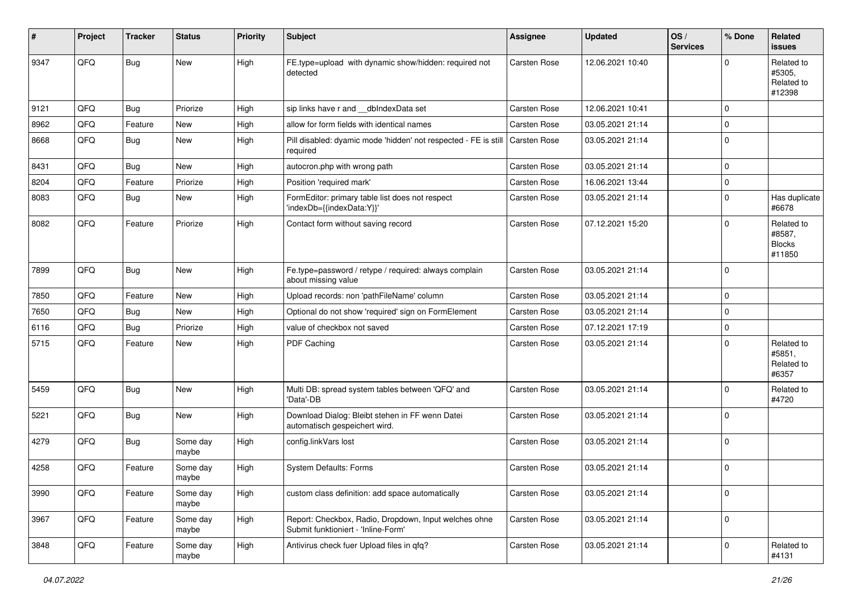| #    | Project | <b>Tracker</b> | <b>Status</b>     | <b>Priority</b> | Subject                                                                                      | Assignee            | <b>Updated</b>   | OS/<br><b>Services</b> | % Done      | <b>Related</b><br>issues                        |
|------|---------|----------------|-------------------|-----------------|----------------------------------------------------------------------------------------------|---------------------|------------------|------------------------|-------------|-------------------------------------------------|
| 9347 | QFQ     | Bug            | New               | High            | FE.type=upload with dynamic show/hidden: required not<br>detected                            | <b>Carsten Rose</b> | 12.06.2021 10:40 |                        | $\Omega$    | Related to<br>#5305,<br>Related to<br>#12398    |
| 9121 | QFQ     | <b>Bug</b>     | Priorize          | High            | sip links have r and __dbIndexData set                                                       | Carsten Rose        | 12.06.2021 10:41 |                        | $\Omega$    |                                                 |
| 8962 | QFQ     | Feature        | New               | High            | allow for form fields with identical names                                                   | Carsten Rose        | 03.05.2021 21:14 |                        | $\Omega$    |                                                 |
| 8668 | QFQ     | Bug            | New               | High            | Pill disabled: dyamic mode 'hidden' not respected - FE is still   Carsten Rose<br>required   |                     | 03.05.2021 21:14 |                        | $\Omega$    |                                                 |
| 8431 | QFQ     | Bug            | New               | High            | autocron.php with wrong path                                                                 | Carsten Rose        | 03.05.2021 21:14 |                        | $\Omega$    |                                                 |
| 8204 | QFQ     | Feature        | Priorize          | High            | Position 'required mark'                                                                     | Carsten Rose        | 16.06.2021 13:44 |                        | 0           |                                                 |
| 8083 | QFQ     | Bug            | New               | High            | FormEditor: primary table list does not respect<br>'indexDb={{indexData:Y}}'                 | <b>Carsten Rose</b> | 03.05.2021 21:14 |                        | $\mathbf 0$ | Has duplicate<br>#6678                          |
| 8082 | QFQ     | Feature        | Priorize          | High            | Contact form without saving record                                                           | Carsten Rose        | 07.12.2021 15:20 |                        | $\Omega$    | Related to<br>#8587,<br><b>Blocks</b><br>#11850 |
| 7899 | QFQ     | Bug            | New               | High            | Fe.type=password / retype / required: always complain<br>about missing value                 | <b>Carsten Rose</b> | 03.05.2021 21:14 |                        | $\Omega$    |                                                 |
| 7850 | QFQ     | Feature        | New               | High            | Upload records: non 'pathFileName' column                                                    | Carsten Rose        | 03.05.2021 21:14 |                        | $\Omega$    |                                                 |
| 7650 | QFQ     | Bug            | <b>New</b>        | High            | Optional do not show 'required' sign on FormElement                                          | Carsten Rose        | 03.05.2021 21:14 |                        | $\Omega$    |                                                 |
| 6116 | QFQ     | Bug            | Priorize          | High            | value of checkbox not saved                                                                  | Carsten Rose        | 07.12.2021 17:19 |                        | 0           |                                                 |
| 5715 | QFQ     | Feature        | New               | High            | PDF Caching                                                                                  | <b>Carsten Rose</b> | 03.05.2021 21:14 |                        | $\Omega$    | Related to<br>#5851,<br>Related to<br>#6357     |
| 5459 | QFQ     | <b>Bug</b>     | New               | High            | Multi DB: spread system tables between 'QFQ' and<br>'Data'-DB                                | <b>Carsten Rose</b> | 03.05.2021 21:14 |                        | $\Omega$    | Related to<br>#4720                             |
| 5221 | QFQ     | Bug            | <b>New</b>        | High            | Download Dialog: Bleibt stehen in FF wenn Datei<br>automatisch gespeichert wird.             | Carsten Rose        | 03.05.2021 21:14 |                        | $\Omega$    |                                                 |
| 4279 | QFQ     | Bug            | Some day<br>maybe | High            | config.linkVars lost                                                                         | Carsten Rose        | 03.05.2021 21:14 |                        | $\Omega$    |                                                 |
| 4258 | QFQ     | Feature        | Some day<br>maybe | High            | System Defaults: Forms                                                                       | Carsten Rose        | 03.05.2021 21:14 |                        | $\mathbf 0$ |                                                 |
| 3990 | QFQ     | Feature        | Some day<br>maybe | High            | custom class definition: add space automatically                                             | Carsten Rose        | 03.05.2021 21:14 |                        | 0           |                                                 |
| 3967 | QFQ     | Feature        | Some day<br>maybe | High            | Report: Checkbox, Radio, Dropdown, Input welches ohne<br>Submit funktioniert - 'Inline-Form' | Carsten Rose        | 03.05.2021 21:14 |                        | 0           |                                                 |
| 3848 | QFQ     | Feature        | Some day<br>maybe | High            | Antivirus check fuer Upload files in qfq?                                                    | Carsten Rose        | 03.05.2021 21:14 |                        | 0           | Related to<br>#4131                             |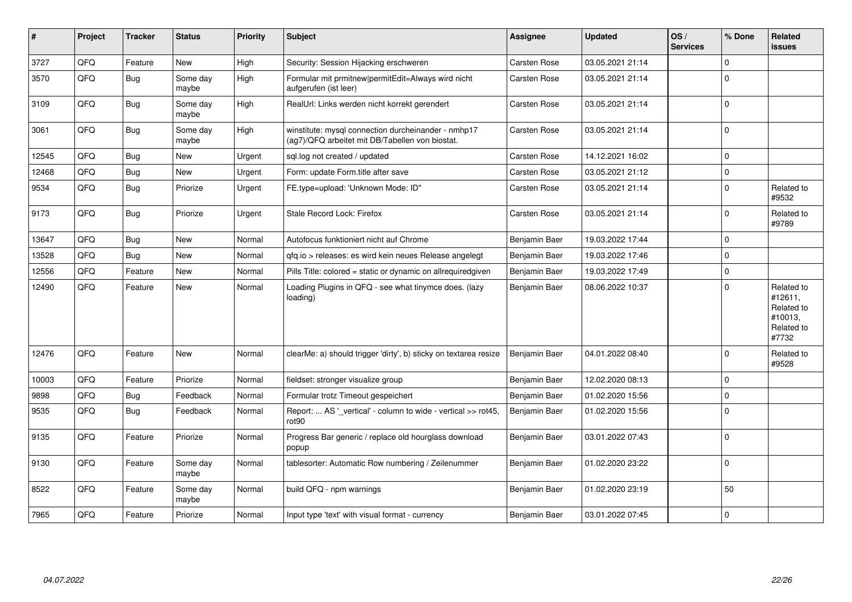| ∦     | Project | <b>Tracker</b> | <b>Status</b>     | <b>Priority</b> | <b>Subject</b>                                                                                         | <b>Assignee</b> | <b>Updated</b>   | OS/<br><b>Services</b> | % Done      | Related<br><b>issues</b>                                              |
|-------|---------|----------------|-------------------|-----------------|--------------------------------------------------------------------------------------------------------|-----------------|------------------|------------------------|-------------|-----------------------------------------------------------------------|
| 3727  | QFQ     | Feature        | <b>New</b>        | High            | Security: Session Hijacking erschweren                                                                 | Carsten Rose    | 03.05.2021 21:14 |                        | $\Omega$    |                                                                       |
| 3570  | QFQ     | <b>Bug</b>     | Some day<br>maybe | High            | Formular mit prmitnew permitEdit=Always wird nicht<br>aufgerufen (ist leer)                            | Carsten Rose    | 03.05.2021 21:14 |                        | $\mathbf 0$ |                                                                       |
| 3109  | QFQ     | <b>Bug</b>     | Some day<br>maybe | High            | RealUrl: Links werden nicht korrekt gerendert                                                          | Carsten Rose    | 03.05.2021 21:14 |                        | $\mathbf 0$ |                                                                       |
| 3061  | QFQ     | Bug            | Some day<br>maybe | High            | winstitute: mysql connection durcheinander - nmhp17<br>(ag7)/QFQ arbeitet mit DB/Tabellen von biostat. | Carsten Rose    | 03.05.2021 21:14 |                        | $\mathbf 0$ |                                                                       |
| 12545 | QFQ     | Bug            | New               | Urgent          | sql.log not created / updated                                                                          | Carsten Rose    | 14.12.2021 16:02 |                        | $\mathbf 0$ |                                                                       |
| 12468 | QFQ     | <b>Bug</b>     | <b>New</b>        | Urgent          | Form: update Form.title after save                                                                     | Carsten Rose    | 03.05.2021 21:12 |                        | $\pmb{0}$   |                                                                       |
| 9534  | QFQ     | <b>Bug</b>     | Priorize          | Urgent          | FE.type=upload: 'Unknown Mode: ID"                                                                     | Carsten Rose    | 03.05.2021 21:14 |                        | $\Omega$    | Related to<br>#9532                                                   |
| 9173  | QFQ     | Bug            | Priorize          | Urgent          | Stale Record Lock: Firefox                                                                             | Carsten Rose    | 03.05.2021 21:14 |                        | $\mathbf 0$ | Related to<br>#9789                                                   |
| 13647 | QFQ     | <b>Bug</b>     | <b>New</b>        | Normal          | Autofocus funktioniert nicht auf Chrome                                                                | Benjamin Baer   | 19.03.2022 17:44 |                        | $\mathbf 0$ |                                                                       |
| 13528 | QFQ     | Bug            | <b>New</b>        | Normal          | gfg.io > releases: es wird kein neues Release angelegt                                                 | Benjamin Baer   | 19.03.2022 17:46 |                        | $\mathbf 0$ |                                                                       |
| 12556 | QFQ     | Feature        | <b>New</b>        | Normal          | Pills Title: colored = static or dynamic on allrequiredgiven                                           | Benjamin Baer   | 19.03.2022 17:49 |                        | $\mathbf 0$ |                                                                       |
| 12490 | QFQ     | Feature        | New               | Normal          | Loading Plugins in QFQ - see what tinymce does. (lazy<br>loading)                                      | Benjamin Baer   | 08.06.2022 10:37 |                        | $\Omega$    | Related to<br>#12611,<br>Related to<br>#10013,<br>Related to<br>#7732 |
| 12476 | QFQ     | Feature        | <b>New</b>        | Normal          | clearMe: a) should trigger 'dirty', b) sticky on textarea resize                                       | Benjamin Baer   | 04.01.2022 08:40 |                        | $\Omega$    | Related to<br>#9528                                                   |
| 10003 | QFQ     | Feature        | Priorize          | Normal          | fieldset: stronger visualize group                                                                     | Benjamin Baer   | 12.02.2020 08:13 |                        | $\mathbf 0$ |                                                                       |
| 9898  | QFQ     | <b>Bug</b>     | Feedback          | Normal          | Formular trotz Timeout gespeichert                                                                     | Benjamin Baer   | 01.02.2020 15:56 |                        | $\mathbf 0$ |                                                                       |
| 9535  | QFQ     | <b>Bug</b>     | Feedback          | Normal          | Report:  AS '_vertical' - column to wide - vertical >> rot45,<br>rot90                                 | Benjamin Baer   | 01.02.2020 15:56 |                        | $\mathbf 0$ |                                                                       |
| 9135  | QFQ     | Feature        | Priorize          | Normal          | Progress Bar generic / replace old hourglass download<br>popup                                         | Benjamin Baer   | 03.01.2022 07:43 |                        | $\mathbf 0$ |                                                                       |
| 9130  | QFQ     | Feature        | Some day<br>maybe | Normal          | tablesorter: Automatic Row numbering / Zeilenummer                                                     | Benjamin Baer   | 01.02.2020 23:22 |                        | $\pmb{0}$   |                                                                       |
| 8522  | QFQ     | Feature        | Some day<br>maybe | Normal          | build QFQ - npm warnings                                                                               | Benjamin Baer   | 01.02.2020 23:19 |                        | 50          |                                                                       |
| 7965  | QFQ     | Feature        | Priorize          | Normal          | Input type 'text' with visual format - currency                                                        | Benjamin Baer   | 03.01.2022 07:45 |                        | $\mathbf 0$ |                                                                       |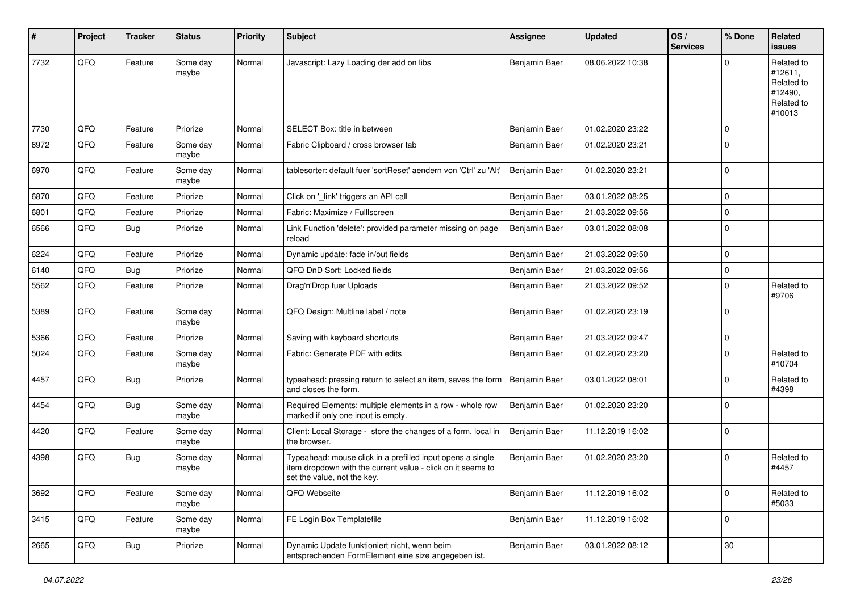| #    | Project | <b>Tracker</b> | <b>Status</b>     | <b>Priority</b> | <b>Subject</b>                                                                                                                                           | Assignee      | <b>Updated</b>   | OS/<br><b>Services</b> | % Done      | Related<br><b>issues</b>                                               |
|------|---------|----------------|-------------------|-----------------|----------------------------------------------------------------------------------------------------------------------------------------------------------|---------------|------------------|------------------------|-------------|------------------------------------------------------------------------|
| 7732 | QFQ     | Feature        | Some day<br>maybe | Normal          | Javascript: Lazy Loading der add on libs                                                                                                                 | Benjamin Baer | 08.06.2022 10:38 |                        | $\Omega$    | Related to<br>#12611,<br>Related to<br>#12490,<br>Related to<br>#10013 |
| 7730 | QFQ     | Feature        | Priorize          | Normal          | SELECT Box: title in between                                                                                                                             | Benjamin Baer | 01.02.2020 23:22 |                        | $\mathbf 0$ |                                                                        |
| 6972 | QFQ     | Feature        | Some day<br>maybe | Normal          | Fabric Clipboard / cross browser tab                                                                                                                     | Benjamin Baer | 01.02.2020 23:21 |                        | $\Omega$    |                                                                        |
| 6970 | QFQ     | Feature        | Some day<br>maybe | Normal          | tablesorter: default fuer 'sortReset' aendern von 'Ctrl' zu 'Alt'                                                                                        | Benjamin Baer | 01.02.2020 23:21 |                        | $\mathbf 0$ |                                                                        |
| 6870 | QFQ     | Feature        | Priorize          | Normal          | Click on '_link' triggers an API call                                                                                                                    | Benjamin Baer | 03.01.2022 08:25 |                        | $\mathbf 0$ |                                                                        |
| 6801 | QFQ     | Feature        | Priorize          | Normal          | Fabric: Maximize / FullIscreen                                                                                                                           | Benjamin Baer | 21.03.2022 09:56 |                        | $\mathbf 0$ |                                                                        |
| 6566 | QFQ     | <b>Bug</b>     | Priorize          | Normal          | Link Function 'delete': provided parameter missing on page<br>reload                                                                                     | Benjamin Baer | 03.01.2022 08:08 |                        | $\mathbf 0$ |                                                                        |
| 6224 | QFQ     | Feature        | Priorize          | Normal          | Dynamic update: fade in/out fields                                                                                                                       | Benjamin Baer | 21.03.2022 09:50 |                        | $\mathbf 0$ |                                                                        |
| 6140 | QFQ     | Bug            | Priorize          | Normal          | QFQ DnD Sort: Locked fields                                                                                                                              | Benjamin Baer | 21.03.2022 09:56 |                        | $\mathbf 0$ |                                                                        |
| 5562 | QFQ     | Feature        | Priorize          | Normal          | Drag'n'Drop fuer Uploads                                                                                                                                 | Benjamin Baer | 21.03.2022 09:52 |                        | $\Omega$    | Related to<br>#9706                                                    |
| 5389 | QFQ     | Feature        | Some day<br>maybe | Normal          | QFQ Design: Multline label / note                                                                                                                        | Benjamin Baer | 01.02.2020 23:19 |                        | $\Omega$    |                                                                        |
| 5366 | QFQ     | Feature        | Priorize          | Normal          | Saving with keyboard shortcuts                                                                                                                           | Benjamin Baer | 21.03.2022 09:47 |                        | $\Omega$    |                                                                        |
| 5024 | QFQ     | Feature        | Some day<br>maybe | Normal          | Fabric: Generate PDF with edits                                                                                                                          | Benjamin Baer | 01.02.2020 23:20 |                        | $\Omega$    | Related to<br>#10704                                                   |
| 4457 | QFQ     | Bug            | Priorize          | Normal          | typeahead: pressing return to select an item, saves the form<br>and closes the form.                                                                     | Benjamin Baer | 03.01.2022 08:01 |                        | $\mathbf 0$ | Related to<br>#4398                                                    |
| 4454 | QFQ     | <b>Bug</b>     | Some day<br>maybe | Normal          | Required Elements: multiple elements in a row - whole row<br>marked if only one input is empty.                                                          | Benjamin Baer | 01.02.2020 23:20 |                        | $\Omega$    |                                                                        |
| 4420 | QFQ     | Feature        | Some day<br>maybe | Normal          | Client: Local Storage - store the changes of a form, local in<br>the browser.                                                                            | Benjamin Baer | 11.12.2019 16:02 |                        | $\mathbf 0$ |                                                                        |
| 4398 | QFQ     | <b>Bug</b>     | Some day<br>maybe | Normal          | Typeahead: mouse click in a prefilled input opens a single<br>item dropdown with the current value - click on it seems to<br>set the value, not the key. | Benjamin Baer | 01.02.2020 23:20 |                        | $\mathbf 0$ | Related to<br>#4457                                                    |
| 3692 | QFQ     | Feature        | Some day<br>maybe | Normal          | QFQ Webseite                                                                                                                                             | Benjamin Baer | 11.12.2019 16:02 |                        | $\mathbf 0$ | Related to<br>#5033                                                    |
| 3415 | QFQ     | Feature        | Some day<br>maybe | Normal          | FE Login Box Templatefile                                                                                                                                | Benjamin Baer | 11.12.2019 16:02 |                        | $\mathbf 0$ |                                                                        |
| 2665 | QFQ     | Bug            | Priorize          | Normal          | Dynamic Update funktioniert nicht, wenn beim<br>entsprechenden FormElement eine size angegeben ist.                                                      | Benjamin Baer | 03.01.2022 08:12 |                        | $30\,$      |                                                                        |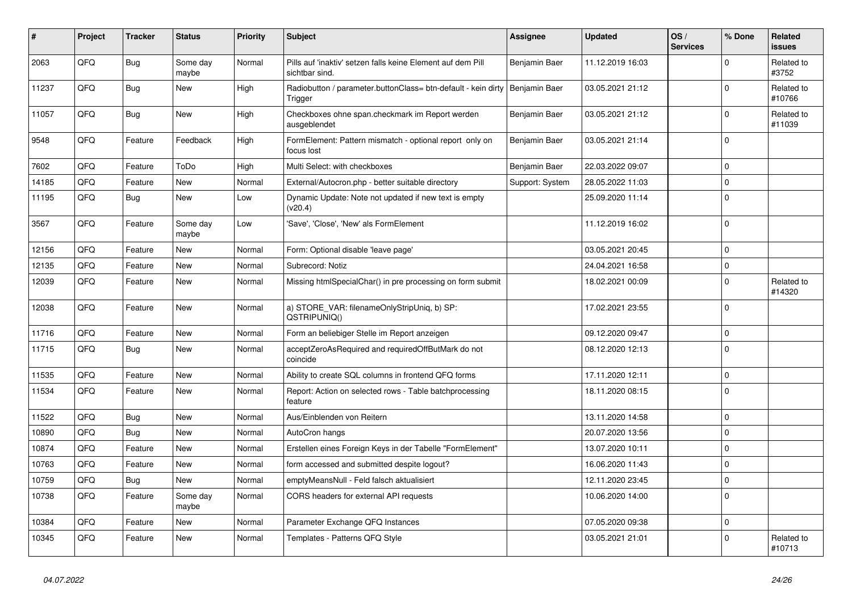| #     | Project | <b>Tracker</b> | <b>Status</b>     | <b>Priority</b> | <b>Subject</b>                                                                | <b>Assignee</b> | <b>Updated</b>   | OS/<br><b>Services</b> | % Done      | Related<br><b>issues</b> |
|-------|---------|----------------|-------------------|-----------------|-------------------------------------------------------------------------------|-----------------|------------------|------------------------|-------------|--------------------------|
| 2063  | QFQ     | <b>Bug</b>     | Some day<br>maybe | Normal          | Pills auf 'inaktiv' setzen falls keine Element auf dem Pill<br>sichtbar sind. | Benjamin Baer   | 11.12.2019 16:03 |                        | $\Omega$    | Related to<br>#3752      |
| 11237 | QFQ     | <b>Bug</b>     | <b>New</b>        | High            | Radiobutton / parameter.buttonClass= btn-default - kein dirty<br>Trigger      | Benjamin Baer   | 03.05.2021 21:12 |                        | $\Omega$    | Related to<br>#10766     |
| 11057 | QFQ     | Bug            | New               | High            | Checkboxes ohne span.checkmark im Report werden<br>ausgeblendet               | Benjamin Baer   | 03.05.2021 21:12 |                        | $\mathbf 0$ | Related to<br>#11039     |
| 9548  | QFQ     | Feature        | Feedback          | High            | FormElement: Pattern mismatch - optional report only on<br>focus lost         | Benjamin Baer   | 03.05.2021 21:14 |                        | $\Omega$    |                          |
| 7602  | QFQ     | Feature        | ToDo              | High            | Multi Select: with checkboxes                                                 | Benjamin Baer   | 22.03.2022 09:07 |                        | $\mathbf 0$ |                          |
| 14185 | QFQ     | Feature        | <b>New</b>        | Normal          | External/Autocron.php - better suitable directory                             | Support: System | 28.05.2022 11:03 |                        | $\mathbf 0$ |                          |
| 11195 | QFQ     | <b>Bug</b>     | New               | Low             | Dynamic Update: Note not updated if new text is empty<br>(v20.4)              |                 | 25.09.2020 11:14 |                        | $\mathbf 0$ |                          |
| 3567  | QFQ     | Feature        | Some day<br>maybe | Low             | 'Save', 'Close', 'New' als FormElement                                        |                 | 11.12.2019 16:02 |                        | $\mathbf 0$ |                          |
| 12156 | QFQ     | Feature        | <b>New</b>        | Normal          | Form: Optional disable 'leave page'                                           |                 | 03.05.2021 20:45 |                        | $\mathbf 0$ |                          |
| 12135 | QFQ     | Feature        | New               | Normal          | Subrecord: Notiz                                                              |                 | 24.04.2021 16:58 |                        | $\mathbf 0$ |                          |
| 12039 | QFQ     | Feature        | New               | Normal          | Missing htmlSpecialChar() in pre processing on form submit                    |                 | 18.02.2021 00:09 |                        | $\mathbf 0$ | Related to<br>#14320     |
| 12038 | QFQ     | Feature        | New               | Normal          | a) STORE_VAR: filenameOnlyStripUniq, b) SP:<br>QSTRIPUNIQ()                   |                 | 17.02.2021 23:55 |                        | $\mathbf 0$ |                          |
| 11716 | QFQ     | Feature        | <b>New</b>        | Normal          | Form an beliebiger Stelle im Report anzeigen                                  |                 | 09.12.2020 09:47 |                        | $\mathbf 0$ |                          |
| 11715 | QFQ     | <b>Bug</b>     | <b>New</b>        | Normal          | acceptZeroAsRequired and requiredOffButMark do not<br>coincide                |                 | 08.12.2020 12:13 |                        | $\Omega$    |                          |
| 11535 | QFQ     | Feature        | New               | Normal          | Ability to create SQL columns in frontend QFQ forms                           |                 | 17.11.2020 12:11 |                        | $\mathbf 0$ |                          |
| 11534 | QFQ     | Feature        | New               | Normal          | Report: Action on selected rows - Table batchprocessing<br>feature            |                 | 18.11.2020 08:15 |                        | $\mathbf 0$ |                          |
| 11522 | QFQ     | <b>Bug</b>     | <b>New</b>        | Normal          | Aus/Einblenden von Reitern                                                    |                 | 13.11.2020 14:58 |                        | $\Omega$    |                          |
| 10890 | QFQ     | <b>Bug</b>     | <b>New</b>        | Normal          | AutoCron hangs                                                                |                 | 20.07.2020 13:56 |                        | $\Omega$    |                          |
| 10874 | QFQ     | Feature        | <b>New</b>        | Normal          | Erstellen eines Foreign Keys in der Tabelle "FormElement"                     |                 | 13.07.2020 10:11 |                        | $\Omega$    |                          |
| 10763 | QFQ     | Feature        | <b>New</b>        | Normal          | form accessed and submitted despite logout?                                   |                 | 16.06.2020 11:43 |                        | $\mathbf 0$ |                          |
| 10759 | QFQ     | Bug            | New               | Normal          | emptyMeansNull - Feld falsch aktualisiert                                     |                 | 12.11.2020 23:45 |                        | $\mathbf 0$ |                          |
| 10738 | QFQ     | Feature        | Some day<br>maybe | Normal          | CORS headers for external API requests                                        |                 | 10.06.2020 14:00 |                        | $\mathbf 0$ |                          |
| 10384 | QFQ     | Feature        | New               | Normal          | Parameter Exchange QFQ Instances                                              |                 | 07.05.2020 09:38 |                        | $\Omega$    |                          |
| 10345 | QFQ     | Feature        | <b>New</b>        | Normal          | Templates - Patterns QFQ Style                                                |                 | 03.05.2021 21:01 |                        | $\Omega$    | Related to<br>#10713     |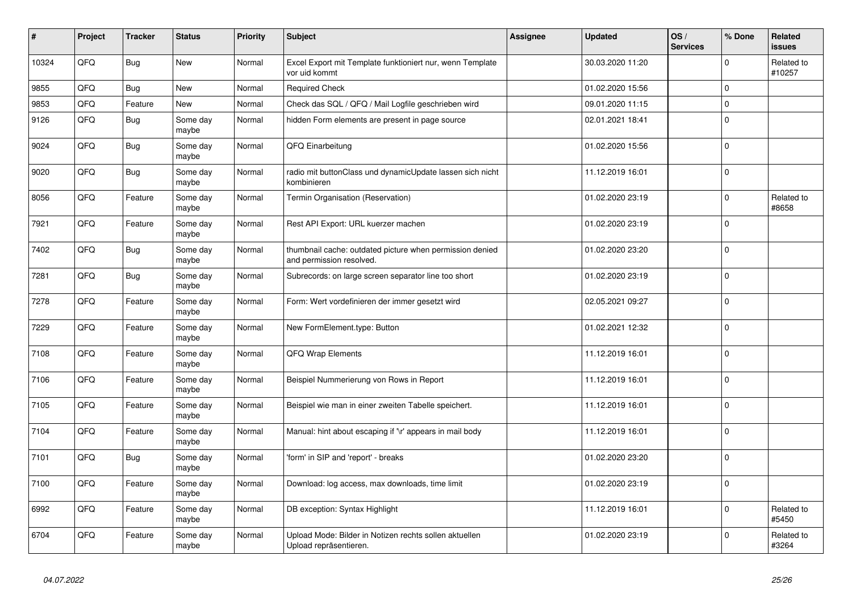| #     | Project | <b>Tracker</b> | <b>Status</b>     | <b>Priority</b> | <b>Subject</b>                                                                       | <b>Assignee</b> | <b>Updated</b>   | OS/<br><b>Services</b> | % Done      | Related<br><b>issues</b> |
|-------|---------|----------------|-------------------|-----------------|--------------------------------------------------------------------------------------|-----------------|------------------|------------------------|-------------|--------------------------|
| 10324 | QFQ     | <b>Bug</b>     | <b>New</b>        | Normal          | Excel Export mit Template funktioniert nur, wenn Template<br>vor uid kommt           |                 | 30.03.2020 11:20 |                        | $\Omega$    | Related to<br>#10257     |
| 9855  | QFQ     | Bug            | <b>New</b>        | Normal          | <b>Required Check</b>                                                                |                 | 01.02.2020 15:56 |                        | $\mathbf 0$ |                          |
| 9853  | QFQ     | Feature        | <b>New</b>        | Normal          | Check das SQL / QFQ / Mail Logfile geschrieben wird                                  |                 | 09.01.2020 11:15 |                        | $\mathbf 0$ |                          |
| 9126  | QFQ     | <b>Bug</b>     | Some day<br>maybe | Normal          | hidden Form elements are present in page source                                      |                 | 02.01.2021 18:41 |                        | $\mathbf 0$ |                          |
| 9024  | QFQ     | <b>Bug</b>     | Some day<br>maybe | Normal          | QFQ Einarbeitung                                                                     |                 | 01.02.2020 15:56 |                        | $\pmb{0}$   |                          |
| 9020  | QFQ     | Bug            | Some day<br>maybe | Normal          | radio mit buttonClass und dynamicUpdate lassen sich nicht<br>kombinieren             |                 | 11.12.2019 16:01 |                        | $\pmb{0}$   |                          |
| 8056  | QFQ     | Feature        | Some day<br>maybe | Normal          | Termin Organisation (Reservation)                                                    |                 | 01.02.2020 23:19 |                        | $\Omega$    | Related to<br>#8658      |
| 7921  | QFQ     | Feature        | Some day<br>maybe | Normal          | Rest API Export: URL kuerzer machen                                                  |                 | 01.02.2020 23:19 |                        | $\Omega$    |                          |
| 7402  | QFQ     | Bug            | Some day<br>maybe | Normal          | thumbnail cache: outdated picture when permission denied<br>and permission resolved. |                 | 01.02.2020 23:20 |                        | $\mathbf 0$ |                          |
| 7281  | QFQ     | Bug            | Some day<br>maybe | Normal          | Subrecords: on large screen separator line too short                                 |                 | 01.02.2020 23:19 |                        | $\mathbf 0$ |                          |
| 7278  | QFQ     | Feature        | Some day<br>maybe | Normal          | Form: Wert vordefinieren der immer gesetzt wird                                      |                 | 02.05.2021 09:27 |                        | $\mathbf 0$ |                          |
| 7229  | QFQ     | Feature        | Some day<br>maybe | Normal          | New FormElement.type: Button                                                         |                 | 01.02.2021 12:32 |                        | $\mathbf 0$ |                          |
| 7108  | QFQ     | Feature        | Some day<br>maybe | Normal          | QFQ Wrap Elements                                                                    |                 | 11.12.2019 16:01 |                        | $\mathbf 0$ |                          |
| 7106  | QFQ     | Feature        | Some day<br>maybe | Normal          | Beispiel Nummerierung von Rows in Report                                             |                 | 11.12.2019 16:01 |                        | $\pmb{0}$   |                          |
| 7105  | QFQ     | Feature        | Some day<br>maybe | Normal          | Beispiel wie man in einer zweiten Tabelle speichert.                                 |                 | 11.12.2019 16:01 |                        | $\mathbf 0$ |                          |
| 7104  | QFQ     | Feature        | Some day<br>maybe | Normal          | Manual: hint about escaping if '\r' appears in mail body                             |                 | 11.12.2019 16:01 |                        | $\mathbf 0$ |                          |
| 7101  | QFQ     | Bug            | Some day<br>maybe | Normal          | 'form' in SIP and 'report' - breaks                                                  |                 | 01.02.2020 23:20 |                        | $\mathbf 0$ |                          |
| 7100  | QFQ     | Feature        | Some day<br>maybe | Normal          | Download: log access, max downloads, time limit                                      |                 | 01.02.2020 23:19 |                        | $\mathbf 0$ |                          |
| 6992  | QFQ     | Feature        | Some day<br>maybe | Normal          | DB exception: Syntax Highlight                                                       |                 | 11.12.2019 16:01 |                        | $\mathbf 0$ | Related to<br>#5450      |
| 6704  | QFQ     | Feature        | Some day<br>maybe | Normal          | Upload Mode: Bilder in Notizen rechts sollen aktuellen<br>Upload repräsentieren.     |                 | 01.02.2020 23:19 |                        | $\Omega$    | Related to<br>#3264      |